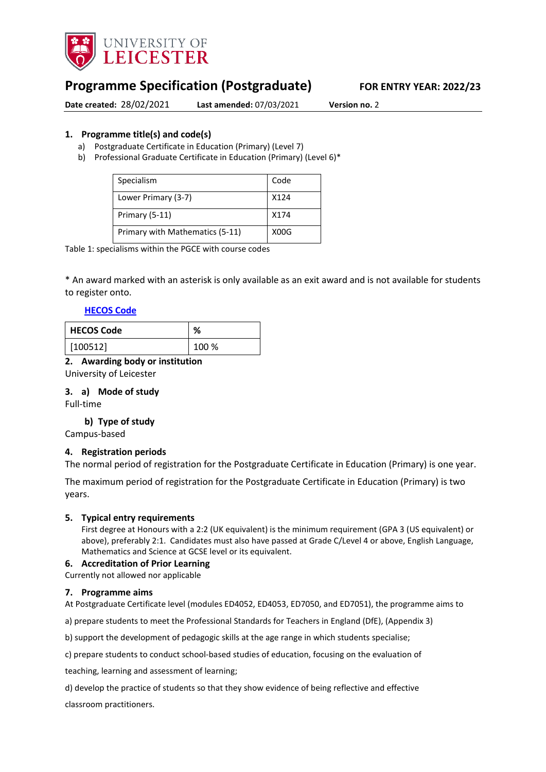

# **Programme Specification (Postgraduate) FOR ENTRY YEAR: 2022/23**

**Date created:** 28/02/2021 **Last amended:** 07/03/2021 **Version no.** 2

### <span id="page-0-0"></span>**1. Programme title(s) and code(s)**

- a) Postgraduate Certificate in Education (Primary) (Level 7)
- b) Professional Graduate Certificate in Education (Primary) (Level 6)\*

| Specialism                      | Code |
|---------------------------------|------|
| Lower Primary (3-7)             | X124 |
| Primary (5-11)                  | X174 |
| Primary with Mathematics (5-11) | X00G |

Table 1: specialisms within the PGCE with course codes

\* An award marked with an asterisk is only available as an exit award and is not available for students to register onto.

### **[HECOS Code](https://www.hesa.ac.uk/innovation/hecos)**

| <b>HECOS Code</b> | %     |
|-------------------|-------|
| [100512]          | 100 % |

### **2. Awarding body or institution**

University of Leicester

### **3. a) Mode of study**

Full-time

### **b) Type of study**

Campus-based

### **4. Registration periods**

The normal period of registration for the Postgraduate Certificate in Education (Primary) is one year.

The maximum period of registration for the Postgraduate Certificate in Education (Primary) is two years.

#### **5. Typical entry requirements**

First degree at Honours with a 2:2 (UK equivalent) is the minimum requirement (GPA 3 (US equivalent) or above), preferably 2:1. Candidates must also have passed at Grade C/Level 4 or above, English Language, Mathematics and Science at GCSE level or its equivalent.

### **6. Accreditation of Prior Learning**

#### Currently not allowed nor applicable

#### **7. Programme aims**

At Postgraduate Certificate level (modules ED4052, ED4053, ED7050, and ED7051), the programme aims to

a) prepare students to meet the Professional Standards for Teachers in England (DfE), (Appendix 3)

b) support the development of pedagogic skills at the age range in which students specialise;

c) prepare students to conduct school-based studies of education, focusing on the evaluation of

teaching, learning and assessment of learning;

d) develop the practice of students so that they show evidence of being reflective and effective

classroom practitioners.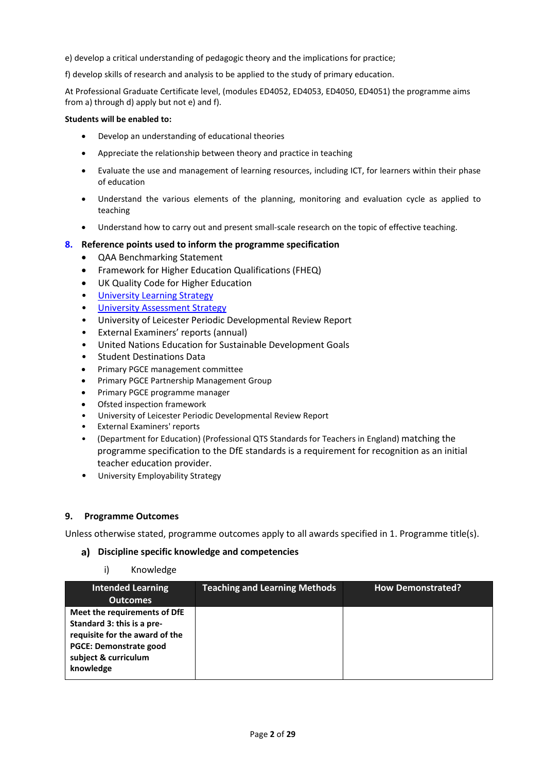e) develop a critical understanding of pedagogic theory and the implications for practice;

f) develop skills of research and analysis to be applied to the study of primary education.

At Professional Graduate Certificate level, (modules ED4052, ED4053, ED4050, ED4051) the programme aims from a) through d) apply but not e) and f).

### **Students will be enabled to:**

- Develop an understanding of educational theories
- Appreciate the relationship between theory and practice in teaching
- Evaluate the use and management of learning resources, including ICT, for learners within their phase of education
- Understand the various elements of the planning, monitoring and evaluation cycle as applied to teaching
- Understand how to carry out and present small-scale research on the topic of effective teaching.

### **8. Reference points used to inform the programme specification**

- QAA Benchmarking Statement
- Framework for Higher Education Qualifications (FHEQ)
- UK Quality Code for Higher Education
- [University Learning Strategy](https://www2.le.ac.uk/offices/sas2/quality/learnteach)
- **[University Assessment Strategy](https://www2.le.ac.uk/offices/sas2/quality/learnteach)**
- University of Leicester Periodic Developmental Review Report
- External Examiners' reports (annual)
- United Nations Education for Sustainable Development Goals
- Student Destinations Data
- Primary PGCE management committee
- Primary PGCE Partnership Management Group
- Primary PGCE programme manager
- Ofsted inspection framework
- University of Leicester Periodic Developmental Review Report
- External Examiners' reports
- (Department for Education) (Professional QTS Standards for Teachers in England) matching the programme specification to the DfE standards is a requirement for recognition as an initial teacher education provider.
- University Employability Strategy

### **9. Programme Outcomes**

Unless otherwise stated, programme outcomes apply to all awards specified in [1.](#page-0-0) Programme title(s).

### **Discipline specific knowledge and competencies**

i) Knowledge

| <b>Intended Learning</b><br><b>Outcomes</b>                                                                                                                        | <b>Teaching and Learning Methods</b> | <b>How Demonstrated?</b> |
|--------------------------------------------------------------------------------------------------------------------------------------------------------------------|--------------------------------------|--------------------------|
| Meet the requirements of DfE<br>Standard 3: this is a pre-<br>requisite for the award of the<br><b>PGCE: Demonstrate good</b><br>subject & curriculum<br>knowledge |                                      |                          |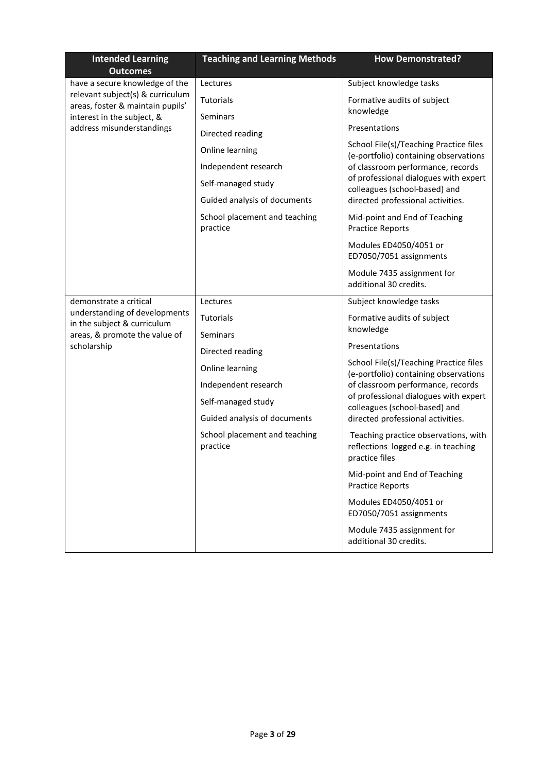| <b>Intended Learning</b><br><b>Outcomes</b>                          | <b>Teaching and Learning Methods</b>      | <b>How Demonstrated?</b>                                                                      |
|----------------------------------------------------------------------|-------------------------------------------|-----------------------------------------------------------------------------------------------|
| have a secure knowledge of the                                       | Lectures                                  | Subject knowledge tasks                                                                       |
| relevant subject(s) & curriculum<br>areas, foster & maintain pupils' | <b>Tutorials</b>                          | Formative audits of subject                                                                   |
| interest in the subject, &                                           | <b>Seminars</b>                           | knowledge                                                                                     |
| address misunderstandings                                            | Directed reading                          | Presentations                                                                                 |
|                                                                      | Online learning                           | School File(s)/Teaching Practice files<br>(e-portfolio) containing observations               |
|                                                                      | Independent research                      | of classroom performance, records                                                             |
|                                                                      | Self-managed study                        | of professional dialogues with expert<br>colleagues (school-based) and                        |
|                                                                      | Guided analysis of documents              | directed professional activities.                                                             |
|                                                                      | School placement and teaching<br>practice | Mid-point and End of Teaching<br><b>Practice Reports</b>                                      |
|                                                                      |                                           | Modules ED4050/4051 or<br>ED7050/7051 assignments                                             |
|                                                                      |                                           | Module 7435 assignment for<br>additional 30 credits.                                          |
| demonstrate a critical                                               | Lectures                                  | Subject knowledge tasks                                                                       |
| understanding of developments<br>in the subject & curriculum         | <b>Tutorials</b>                          | Formative audits of subject                                                                   |
| areas, & promote the value of                                        | <b>Seminars</b>                           | knowledge                                                                                     |
| scholarship                                                          | Directed reading                          | Presentations                                                                                 |
|                                                                      | Online learning                           | School File(s)/Teaching Practice files<br>(e-portfolio) containing observations               |
|                                                                      | Independent research                      | of classroom performance, records                                                             |
|                                                                      | Self-managed study                        | of professional dialogues with expert<br>colleagues (school-based) and                        |
|                                                                      | Guided analysis of documents              | directed professional activities.                                                             |
|                                                                      | School placement and teaching<br>practice | Teaching practice observations, with<br>reflections logged e.g. in teaching<br>practice files |
|                                                                      |                                           | Mid-point and End of Teaching<br><b>Practice Reports</b>                                      |
|                                                                      |                                           | Modules ED4050/4051 or<br>ED7050/7051 assignments                                             |
|                                                                      |                                           | Module 7435 assignment for<br>additional 30 credits.                                          |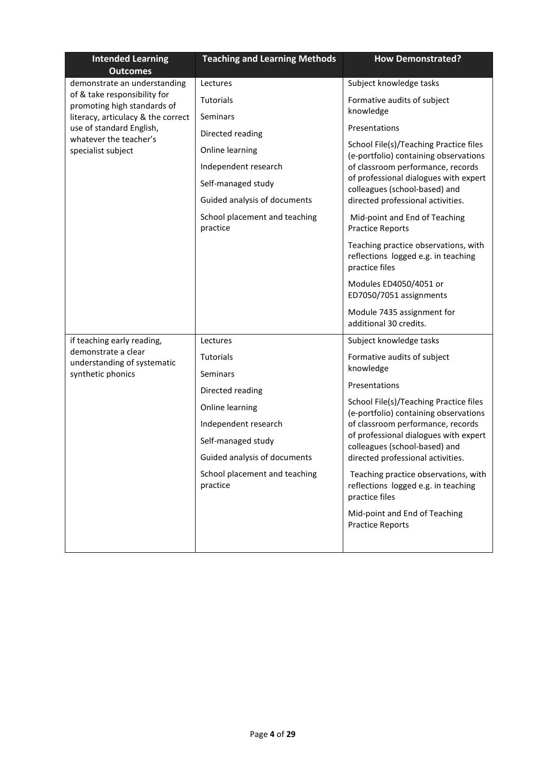| <b>Intended Learning</b>                                    | <b>Teaching and Learning Methods</b>      | <b>How Demonstrated?</b>                                                                      |
|-------------------------------------------------------------|-------------------------------------------|-----------------------------------------------------------------------------------------------|
| <b>Outcomes</b><br>demonstrate an understanding             | Lectures                                  | Subject knowledge tasks                                                                       |
| of & take responsibility for<br>promoting high standards of | <b>Tutorials</b>                          | Formative audits of subject                                                                   |
| literacy, articulacy & the correct                          | <b>Seminars</b>                           | knowledge                                                                                     |
| use of standard English,<br>whatever the teacher's          | Directed reading                          | Presentations                                                                                 |
| specialist subject                                          | Online learning                           | School File(s)/Teaching Practice files<br>(e-portfolio) containing observations               |
|                                                             | Independent research                      | of classroom performance, records                                                             |
|                                                             | Self-managed study                        | of professional dialogues with expert<br>colleagues (school-based) and                        |
|                                                             | Guided analysis of documents              | directed professional activities.                                                             |
|                                                             | School placement and teaching<br>practice | Mid-point and End of Teaching<br><b>Practice Reports</b>                                      |
|                                                             |                                           | Teaching practice observations, with<br>reflections logged e.g. in teaching<br>practice files |
|                                                             |                                           | Modules ED4050/4051 or<br>ED7050/7051 assignments                                             |
|                                                             |                                           | Module 7435 assignment for<br>additional 30 credits.                                          |
| if teaching early reading,                                  | Lectures                                  | Subject knowledge tasks                                                                       |
| demonstrate a clear<br>understanding of systematic          | <b>Tutorials</b>                          | Formative audits of subject                                                                   |
| synthetic phonics                                           | <b>Seminars</b>                           | knowledge                                                                                     |
|                                                             | Directed reading                          | Presentations                                                                                 |
|                                                             | Online learning                           | School File(s)/Teaching Practice files<br>(e-portfolio) containing observations               |
|                                                             | Independent research                      | of classroom performance, records                                                             |
|                                                             | Self-managed study                        | of professional dialogues with expert<br>colleagues (school-based) and                        |
|                                                             | Guided analysis of documents              | directed professional activities.                                                             |
|                                                             | School placement and teaching<br>practice | Teaching practice observations, with<br>reflections logged e.g. in teaching<br>practice files |
|                                                             |                                           | Mid-point and End of Teaching<br><b>Practice Reports</b>                                      |
|                                                             |                                           |                                                                                               |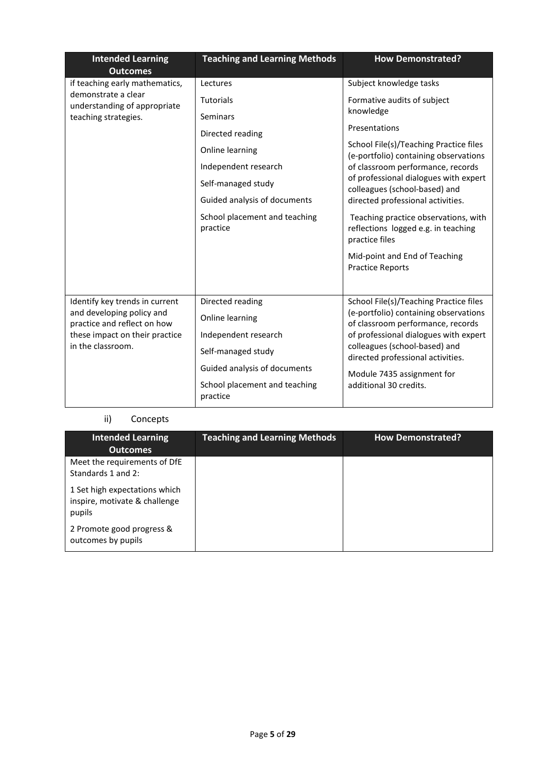| <b>Intended Learning</b><br><b>Outcomes</b>                                                                                                       | <b>Teaching and Learning Methods</b>      | <b>How Demonstrated?</b>                                                                      |
|---------------------------------------------------------------------------------------------------------------------------------------------------|-------------------------------------------|-----------------------------------------------------------------------------------------------|
| if teaching early mathematics,                                                                                                                    | Lectures                                  | Subject knowledge tasks                                                                       |
| demonstrate a clear<br>understanding of appropriate                                                                                               | <b>Tutorials</b>                          | Formative audits of subject                                                                   |
| teaching strategies.                                                                                                                              | <b>Seminars</b>                           | knowledge                                                                                     |
|                                                                                                                                                   | Directed reading                          | Presentations                                                                                 |
|                                                                                                                                                   | Online learning                           | School File(s)/Teaching Practice files<br>(e-portfolio) containing observations               |
|                                                                                                                                                   | Independent research                      | of classroom performance, records                                                             |
|                                                                                                                                                   | Self-managed study                        | of professional dialogues with expert<br>colleagues (school-based) and                        |
|                                                                                                                                                   | Guided analysis of documents              | directed professional activities.                                                             |
|                                                                                                                                                   | School placement and teaching<br>practice | Teaching practice observations, with<br>reflections logged e.g. in teaching<br>practice files |
|                                                                                                                                                   |                                           | Mid-point and End of Teaching<br><b>Practice Reports</b>                                      |
|                                                                                                                                                   | Directed reading                          | School File(s)/Teaching Practice files                                                        |
| Identify key trends in current<br>and developing policy and<br>practice and reflect on how<br>these impact on their practice<br>in the classroom. | Online learning                           | (e-portfolio) containing observations<br>of classroom performance, records                    |
|                                                                                                                                                   | Independent research                      | of professional dialogues with expert                                                         |
|                                                                                                                                                   | Self-managed study                        | colleagues (school-based) and<br>directed professional activities.                            |
|                                                                                                                                                   | Guided analysis of documents              | Module 7435 assignment for                                                                    |
|                                                                                                                                                   | School placement and teaching<br>practice | additional 30 credits.                                                                        |

## ii) Concepts

| <b>Intended Learning</b><br><b>Outcomes</b>                              | <b>Teaching and Learning Methods</b> | <b>How Demonstrated?</b> |
|--------------------------------------------------------------------------|--------------------------------------|--------------------------|
| Meet the requirements of DfE<br>Standards 1 and 2:                       |                                      |                          |
| 1 Set high expectations which<br>inspire, motivate & challenge<br>pupils |                                      |                          |
| 2 Promote good progress &<br>outcomes by pupils                          |                                      |                          |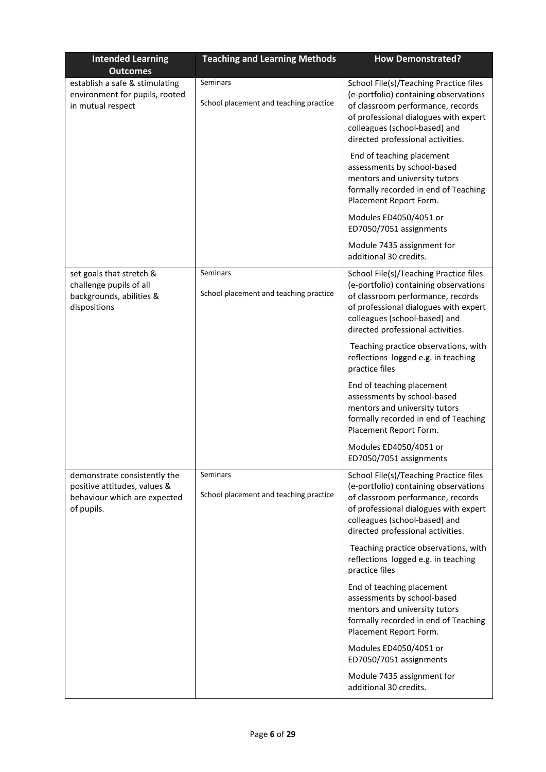| <b>Intended Learning</b><br><b>Outcomes</b>                                                                | <b>Teaching and Learning Methods</b>                      | <b>How Demonstrated?</b>                                                                                                                                                                                                            |
|------------------------------------------------------------------------------------------------------------|-----------------------------------------------------------|-------------------------------------------------------------------------------------------------------------------------------------------------------------------------------------------------------------------------------------|
| establish a safe & stimulating<br>environment for pupils, rooted<br>in mutual respect                      | Seminars<br>School placement and teaching practice        | School File(s)/Teaching Practice files<br>(e-portfolio) containing observations<br>of classroom performance, records<br>of professional dialogues with expert<br>colleagues (school-based) and<br>directed professional activities. |
|                                                                                                            |                                                           | End of teaching placement<br>assessments by school-based<br>mentors and university tutors<br>formally recorded in end of Teaching<br>Placement Report Form.                                                                         |
|                                                                                                            |                                                           | Modules ED4050/4051 or<br>ED7050/7051 assignments                                                                                                                                                                                   |
|                                                                                                            |                                                           | Module 7435 assignment for<br>additional 30 credits.                                                                                                                                                                                |
| set goals that stretch &<br>challenge pupils of all<br>backgrounds, abilities &<br>dispositions            | <b>Seminars</b><br>School placement and teaching practice | School File(s)/Teaching Practice files<br>(e-portfolio) containing observations<br>of classroom performance, records<br>of professional dialogues with expert<br>colleagues (school-based) and<br>directed professional activities. |
|                                                                                                            |                                                           | Teaching practice observations, with<br>reflections logged e.g. in teaching<br>practice files                                                                                                                                       |
|                                                                                                            |                                                           | End of teaching placement<br>assessments by school-based<br>mentors and university tutors<br>formally recorded in end of Teaching<br>Placement Report Form.                                                                         |
|                                                                                                            |                                                           | Modules ED4050/4051 or<br>ED7050/7051 assignments                                                                                                                                                                                   |
| demonstrate consistently the<br>positive attitudes, values &<br>behaviour which are expected<br>of pupils. | Seminars<br>School placement and teaching practice        | School File(s)/Teaching Practice files<br>(e-portfolio) containing observations<br>of classroom performance, records<br>of professional dialogues with expert<br>colleagues (school-based) and<br>directed professional activities. |
|                                                                                                            |                                                           | Teaching practice observations, with<br>reflections logged e.g. in teaching<br>practice files                                                                                                                                       |
|                                                                                                            |                                                           | End of teaching placement<br>assessments by school-based<br>mentors and university tutors<br>formally recorded in end of Teaching<br>Placement Report Form.                                                                         |
|                                                                                                            |                                                           | Modules ED4050/4051 or<br>ED7050/7051 assignments                                                                                                                                                                                   |
|                                                                                                            |                                                           | Module 7435 assignment for<br>additional 30 credits.                                                                                                                                                                                |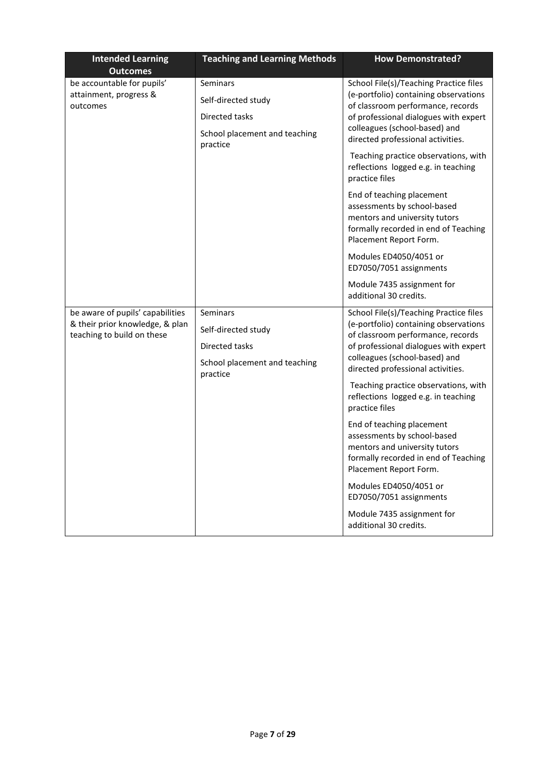| <b>Intended Learning</b>                                                                          | <b>Teaching and Learning Methods</b>                                                                  | <b>How Demonstrated?</b>                                                                                                                                                                                                                                                                                                                                                                                                                                                                                                                                                                                         |
|---------------------------------------------------------------------------------------------------|-------------------------------------------------------------------------------------------------------|------------------------------------------------------------------------------------------------------------------------------------------------------------------------------------------------------------------------------------------------------------------------------------------------------------------------------------------------------------------------------------------------------------------------------------------------------------------------------------------------------------------------------------------------------------------------------------------------------------------|
| <b>Outcomes</b>                                                                                   |                                                                                                       |                                                                                                                                                                                                                                                                                                                                                                                                                                                                                                                                                                                                                  |
| be accountable for pupils'<br>attainment, progress &<br>outcomes                                  | <b>Seminars</b><br>Self-directed study<br>Directed tasks<br>School placement and teaching<br>practice | School File(s)/Teaching Practice files<br>(e-portfolio) containing observations<br>of classroom performance, records<br>of professional dialogues with expert<br>colleagues (school-based) and<br>directed professional activities.                                                                                                                                                                                                                                                                                                                                                                              |
|                                                                                                   |                                                                                                       | Teaching practice observations, with<br>reflections logged e.g. in teaching<br>practice files                                                                                                                                                                                                                                                                                                                                                                                                                                                                                                                    |
|                                                                                                   |                                                                                                       | End of teaching placement<br>assessments by school-based<br>mentors and university tutors<br>formally recorded in end of Teaching<br>Placement Report Form.                                                                                                                                                                                                                                                                                                                                                                                                                                                      |
|                                                                                                   |                                                                                                       | Modules ED4050/4051 or<br>ED7050/7051 assignments                                                                                                                                                                                                                                                                                                                                                                                                                                                                                                                                                                |
|                                                                                                   |                                                                                                       | Module 7435 assignment for<br>additional 30 credits.                                                                                                                                                                                                                                                                                                                                                                                                                                                                                                                                                             |
| be aware of pupils' capabilities<br>& their prior knowledge, & plan<br>teaching to build on these | Seminars<br>Self-directed study<br>Directed tasks<br>School placement and teaching<br>practice        | School File(s)/Teaching Practice files<br>(e-portfolio) containing observations<br>of classroom performance, records<br>of professional dialogues with expert<br>colleagues (school-based) and<br>directed professional activities.<br>Teaching practice observations, with<br>reflections logged e.g. in teaching<br>practice files<br>End of teaching placement<br>assessments by school-based<br>mentors and university tutors<br>formally recorded in end of Teaching<br>Placement Report Form.<br>Modules ED4050/4051 or<br>ED7050/7051 assignments<br>Module 7435 assignment for<br>additional 30 credits. |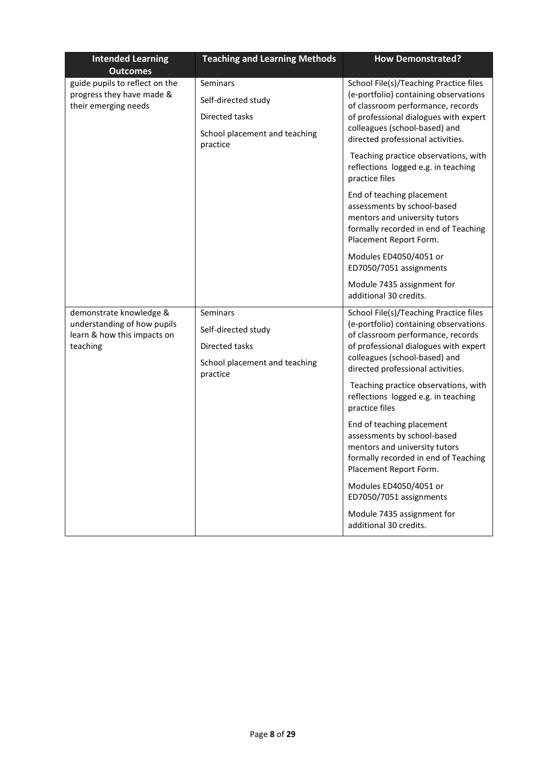| <b>Intended Learning</b>                                                                          | <b>Teaching and Learning Methods</b>                                                                  | <b>How Demonstrated?</b>                                                                                                                                                                                                                                                                                                                                                                                                                                                                                                      |
|---------------------------------------------------------------------------------------------------|-------------------------------------------------------------------------------------------------------|-------------------------------------------------------------------------------------------------------------------------------------------------------------------------------------------------------------------------------------------------------------------------------------------------------------------------------------------------------------------------------------------------------------------------------------------------------------------------------------------------------------------------------|
| <b>Outcomes</b>                                                                                   |                                                                                                       |                                                                                                                                                                                                                                                                                                                                                                                                                                                                                                                               |
| guide pupils to reflect on the<br>progress they have made &<br>their emerging needs               | Seminars<br>Self-directed study<br>Directed tasks<br>School placement and teaching                    | School File(s)/Teaching Practice files<br>(e-portfolio) containing observations<br>of classroom performance, records<br>of professional dialogues with expert<br>colleagues (school-based) and                                                                                                                                                                                                                                                                                                                                |
|                                                                                                   | practice                                                                                              | directed professional activities.<br>Teaching practice observations, with<br>reflections logged e.g. in teaching<br>practice files                                                                                                                                                                                                                                                                                                                                                                                            |
|                                                                                                   |                                                                                                       | End of teaching placement<br>assessments by school-based<br>mentors and university tutors<br>formally recorded in end of Teaching<br>Placement Report Form.                                                                                                                                                                                                                                                                                                                                                                   |
|                                                                                                   |                                                                                                       | Modules ED4050/4051 or<br>ED7050/7051 assignments                                                                                                                                                                                                                                                                                                                                                                                                                                                                             |
|                                                                                                   |                                                                                                       | Module 7435 assignment for<br>additional 30 credits.                                                                                                                                                                                                                                                                                                                                                                                                                                                                          |
| demonstrate knowledge &<br>understanding of how pupils<br>learn & how this impacts on<br>teaching | <b>Seminars</b><br>Self-directed study<br>Directed tasks<br>School placement and teaching<br>practice | School File(s)/Teaching Practice files<br>(e-portfolio) containing observations<br>of classroom performance, records<br>of professional dialogues with expert<br>colleagues (school-based) and<br>directed professional activities.<br>Teaching practice observations, with<br>reflections logged e.g. in teaching<br>practice files<br>End of teaching placement<br>assessments by school-based<br>mentors and university tutors<br>formally recorded in end of Teaching<br>Placement Report Form.<br>Modules ED4050/4051 or |
|                                                                                                   |                                                                                                       | ED7050/7051 assignments<br>Module 7435 assignment for<br>additional 30 credits.                                                                                                                                                                                                                                                                                                                                                                                                                                               |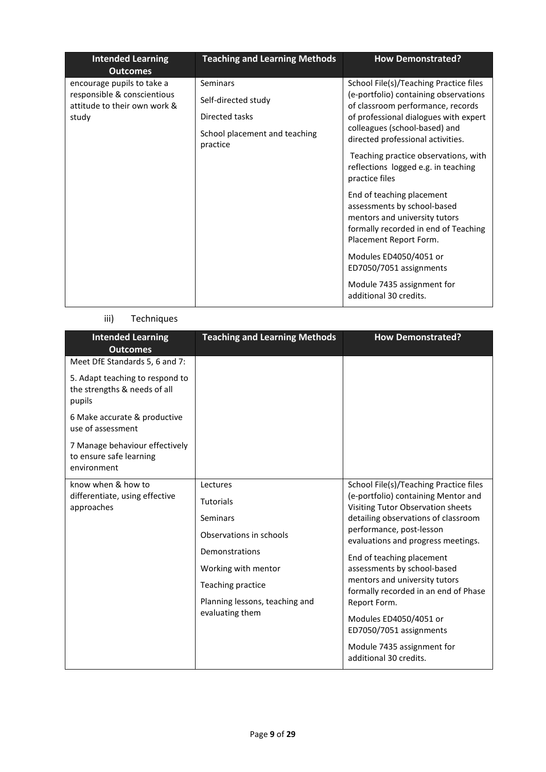| <b>Intended Learning</b><br><b>Outcomes</b>                 | <b>Teaching and Learning Methods</b>      | <b>How Demonstrated?</b>                                                                                                                                    |
|-------------------------------------------------------------|-------------------------------------------|-------------------------------------------------------------------------------------------------------------------------------------------------------------|
| encourage pupils to take a                                  | Seminars                                  | School File(s)/Teaching Practice files                                                                                                                      |
| responsible & conscientious<br>attitude to their own work & | Self-directed study                       | (e-portfolio) containing observations<br>of classroom performance, records                                                                                  |
| study                                                       | Directed tasks                            | of professional dialogues with expert                                                                                                                       |
|                                                             | School placement and teaching<br>practice | colleagues (school-based) and<br>directed professional activities.                                                                                          |
|                                                             |                                           | Teaching practice observations, with<br>reflections logged e.g. in teaching<br>practice files                                                               |
|                                                             |                                           | End of teaching placement<br>assessments by school-based<br>mentors and university tutors<br>formally recorded in end of Teaching<br>Placement Report Form. |
|                                                             |                                           | Modules ED4050/4051 or<br>ED7050/7051 assignments                                                                                                           |
|                                                             |                                           | Module 7435 assignment for<br>additional 30 credits.                                                                                                        |

## iii) Techniques

| <b>Intended Learning</b><br><b>Outcomes</b>                               | <b>Teaching and Learning Methods</b> | <b>How Demonstrated?</b>                                                 |
|---------------------------------------------------------------------------|--------------------------------------|--------------------------------------------------------------------------|
| Meet DfE Standards 5, 6 and 7:                                            |                                      |                                                                          |
| 5. Adapt teaching to respond to<br>the strengths & needs of all<br>pupils |                                      |                                                                          |
| 6 Make accurate & productive<br>use of assessment                         |                                      |                                                                          |
| 7 Manage behaviour effectively<br>to ensure safe learning<br>environment  |                                      |                                                                          |
| know when & how to                                                        | Lectures                             | School File(s)/Teaching Practice files                                   |
| differentiate, using effective<br>approaches                              | <b>Tutorials</b>                     | (e-portfolio) containing Mentor and<br>Visiting Tutor Observation sheets |
|                                                                           | Seminars                             | detailing observations of classroom                                      |
|                                                                           | Observations in schools              | performance, post-lesson<br>evaluations and progress meetings.           |
|                                                                           | Demonstrations                       | End of teaching placement                                                |
|                                                                           | Working with mentor                  | assessments by school-based                                              |
|                                                                           | Teaching practice                    | mentors and university tutors<br>formally recorded in an end of Phase    |
|                                                                           | Planning lessons, teaching and       | Report Form.                                                             |
|                                                                           | evaluating them                      | Modules ED4050/4051 or<br>ED7050/7051 assignments                        |
|                                                                           |                                      | Module 7435 assignment for<br>additional 30 credits.                     |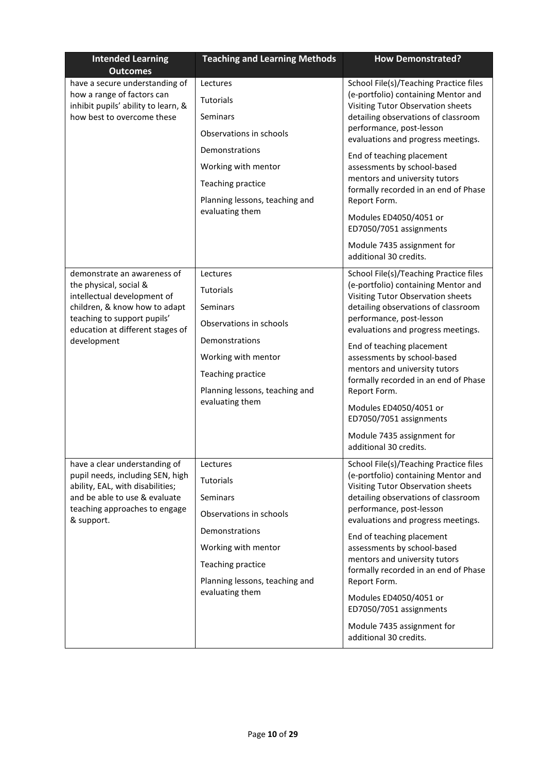| <b>Intended Learning</b><br><b>Outcomes</b>                                                                                                                                                             | <b>Teaching and Learning Methods</b>                                                                                                                                                          | <b>How Demonstrated?</b>                                                                                                                                                                                                                                                                                                                                                                                                                                                                                                |
|---------------------------------------------------------------------------------------------------------------------------------------------------------------------------------------------------------|-----------------------------------------------------------------------------------------------------------------------------------------------------------------------------------------------|-------------------------------------------------------------------------------------------------------------------------------------------------------------------------------------------------------------------------------------------------------------------------------------------------------------------------------------------------------------------------------------------------------------------------------------------------------------------------------------------------------------------------|
| have a secure understanding of<br>how a range of factors can<br>inhibit pupils' ability to learn, &<br>how best to overcome these                                                                       | Lectures<br><b>Tutorials</b><br><b>Seminars</b><br>Observations in schools<br>Demonstrations<br>Working with mentor<br>Teaching practice<br>Planning lessons, teaching and<br>evaluating them | School File(s)/Teaching Practice files<br>(e-portfolio) containing Mentor and<br>Visiting Tutor Observation sheets<br>detailing observations of classroom<br>performance, post-lesson<br>evaluations and progress meetings.<br>End of teaching placement<br>assessments by school-based<br>mentors and university tutors<br>formally recorded in an end of Phase<br>Report Form.<br>Modules ED4050/4051 or<br>ED7050/7051 assignments<br>Module 7435 assignment for                                                     |
| demonstrate an awareness of<br>the physical, social &<br>intellectual development of<br>children, & know how to adapt<br>teaching to support pupils'<br>education at different stages of<br>development | Lectures<br><b>Tutorials</b><br>Seminars<br>Observations in schools<br>Demonstrations<br>Working with mentor<br>Teaching practice<br>Planning lessons, teaching and<br>evaluating them        | additional 30 credits.<br>School File(s)/Teaching Practice files<br>(e-portfolio) containing Mentor and<br>Visiting Tutor Observation sheets<br>detailing observations of classroom<br>performance, post-lesson<br>evaluations and progress meetings.<br>End of teaching placement<br>assessments by school-based<br>mentors and university tutors<br>formally recorded in an end of Phase<br>Report Form.<br>Modules ED4050/4051 or<br>ED7050/7051 assignments<br>Module 7435 assignment for<br>additional 30 credits. |
| have a clear understanding of<br>pupil needs, including SEN, high<br>ability, EAL, with disabilities;<br>and be able to use & evaluate<br>teaching approaches to engage<br>& support.                   | Lectures<br>Tutorials<br>Seminars<br>Observations in schools<br>Demonstrations<br>Working with mentor<br>Teaching practice<br>Planning lessons, teaching and<br>evaluating them               | School File(s)/Teaching Practice files<br>(e-portfolio) containing Mentor and<br>Visiting Tutor Observation sheets<br>detailing observations of classroom<br>performance, post-lesson<br>evaluations and progress meetings.<br>End of teaching placement<br>assessments by school-based<br>mentors and university tutors<br>formally recorded in an end of Phase<br>Report Form.<br>Modules ED4050/4051 or<br>ED7050/7051 assignments<br>Module 7435 assignment for<br>additional 30 credits.                           |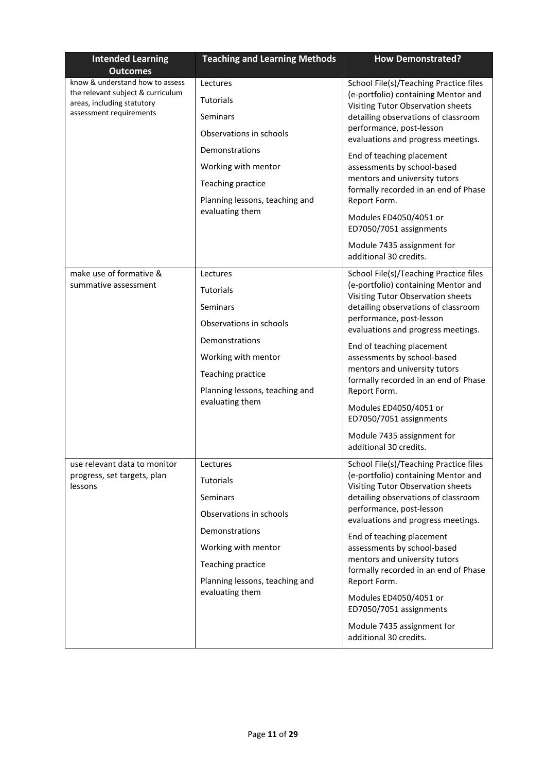| <b>Intended Learning</b><br><b>Outcomes</b>                                                                                   | <b>Teaching and Learning Methods</b>                                                                                                                                                   | <b>How Demonstrated?</b>                                                                                                                                                                                                                                                                                                                                                                                                                                                                                                |
|-------------------------------------------------------------------------------------------------------------------------------|----------------------------------------------------------------------------------------------------------------------------------------------------------------------------------------|-------------------------------------------------------------------------------------------------------------------------------------------------------------------------------------------------------------------------------------------------------------------------------------------------------------------------------------------------------------------------------------------------------------------------------------------------------------------------------------------------------------------------|
| know & understand how to assess<br>the relevant subject & curriculum<br>areas, including statutory<br>assessment requirements | Lectures<br>Tutorials<br>Seminars<br>Observations in schools<br>Demonstrations<br>Working with mentor<br>Teaching practice<br>Planning lessons, teaching and<br>evaluating them        | School File(s)/Teaching Practice files<br>(e-portfolio) containing Mentor and<br>Visiting Tutor Observation sheets<br>detailing observations of classroom<br>performance, post-lesson<br>evaluations and progress meetings.<br>End of teaching placement<br>assessments by school-based<br>mentors and university tutors<br>formally recorded in an end of Phase<br>Report Form.<br>Modules ED4050/4051 or<br>ED7050/7051 assignments<br>Module 7435 assignment for                                                     |
| make use of formative &<br>summative assessment                                                                               | Lectures<br><b>Tutorials</b><br>Seminars<br>Observations in schools<br>Demonstrations<br>Working with mentor<br>Teaching practice<br>Planning lessons, teaching and<br>evaluating them | additional 30 credits.<br>School File(s)/Teaching Practice files<br>(e-portfolio) containing Mentor and<br>Visiting Tutor Observation sheets<br>detailing observations of classroom<br>performance, post-lesson<br>evaluations and progress meetings.<br>End of teaching placement<br>assessments by school-based<br>mentors and university tutors<br>formally recorded in an end of Phase<br>Report Form.<br>Modules ED4050/4051 or<br>ED7050/7051 assignments<br>Module 7435 assignment for<br>additional 30 credits. |
| use relevant data to monitor<br>progress, set targets, plan<br>lessons                                                        | Lectures<br><b>Tutorials</b><br>Seminars<br>Observations in schools<br>Demonstrations<br>Working with mentor<br>Teaching practice<br>Planning lessons, teaching and<br>evaluating them | School File(s)/Teaching Practice files<br>(e-portfolio) containing Mentor and<br>Visiting Tutor Observation sheets<br>detailing observations of classroom<br>performance, post-lesson<br>evaluations and progress meetings.<br>End of teaching placement<br>assessments by school-based<br>mentors and university tutors<br>formally recorded in an end of Phase<br>Report Form.<br>Modules ED4050/4051 or<br>ED7050/7051 assignments<br>Module 7435 assignment for<br>additional 30 credits.                           |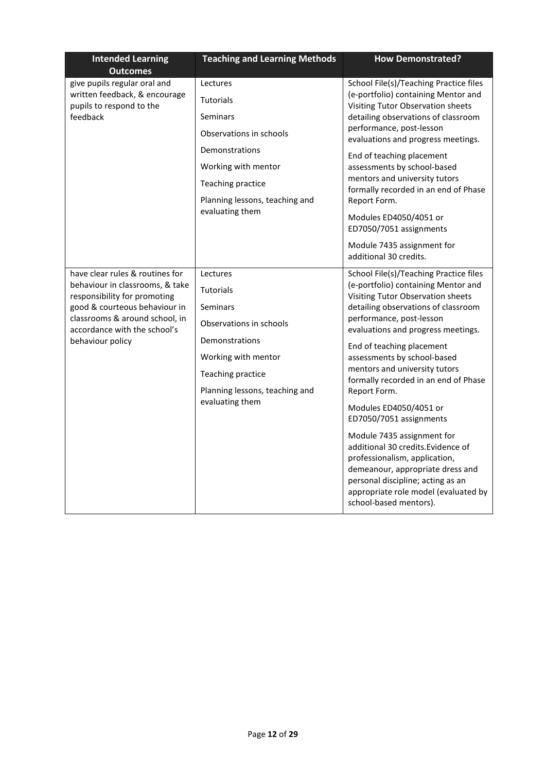| <b>Intended Learning</b><br><b>Outcomes</b>                        | <b>Teaching and Learning Methods</b>              | <b>How Demonstrated?</b>                                                                                                                                                                                                                     |
|--------------------------------------------------------------------|---------------------------------------------------|----------------------------------------------------------------------------------------------------------------------------------------------------------------------------------------------------------------------------------------------|
| give pupils regular oral and                                       | Lectures                                          | School File(s)/Teaching Practice files                                                                                                                                                                                                       |
| written feedback, & encourage<br>pupils to respond to the          | <b>Tutorials</b>                                  | (e-portfolio) containing Mentor and<br>Visiting Tutor Observation sheets                                                                                                                                                                     |
| feedback                                                           | Seminars                                          | detailing observations of classroom                                                                                                                                                                                                          |
|                                                                    | Observations in schools                           | performance, post-lesson<br>evaluations and progress meetings.                                                                                                                                                                               |
|                                                                    | Demonstrations                                    | End of teaching placement                                                                                                                                                                                                                    |
|                                                                    | Working with mentor                               | assessments by school-based                                                                                                                                                                                                                  |
|                                                                    | Teaching practice                                 | mentors and university tutors<br>formally recorded in an end of Phase                                                                                                                                                                        |
|                                                                    | Planning lessons, teaching and                    | Report Form.                                                                                                                                                                                                                                 |
|                                                                    | evaluating them                                   | Modules ED4050/4051 or<br>ED7050/7051 assignments                                                                                                                                                                                            |
|                                                                    |                                                   | Module 7435 assignment for<br>additional 30 credits.                                                                                                                                                                                         |
| have clear rules & routines for<br>behaviour in classrooms, & take | Lectures                                          | School File(s)/Teaching Practice files                                                                                                                                                                                                       |
| responsibility for promoting                                       | <b>Tutorials</b>                                  | (e-portfolio) containing Mentor and<br>Visiting Tutor Observation sheets                                                                                                                                                                     |
| good & courteous behaviour in                                      | Seminars                                          | detailing observations of classroom                                                                                                                                                                                                          |
| classrooms & around school, in<br>accordance with the school's     | Observations in schools                           | performance, post-lesson<br>evaluations and progress meetings.                                                                                                                                                                               |
| behaviour policy                                                   | Demonstrations                                    | End of teaching placement                                                                                                                                                                                                                    |
|                                                                    | Working with mentor                               | assessments by school-based<br>mentors and university tutors<br>formally recorded in an end of Phase                                                                                                                                         |
|                                                                    | Teaching practice                                 |                                                                                                                                                                                                                                              |
|                                                                    | Planning lessons, teaching and<br>evaluating them | Report Form.                                                                                                                                                                                                                                 |
|                                                                    |                                                   | Modules ED4050/4051 or<br>ED7050/7051 assignments                                                                                                                                                                                            |
|                                                                    |                                                   | Module 7435 assignment for<br>additional 30 credits. Evidence of<br>professionalism, application,<br>demeanour, appropriate dress and<br>personal discipline; acting as an<br>appropriate role model (evaluated by<br>school-based mentors). |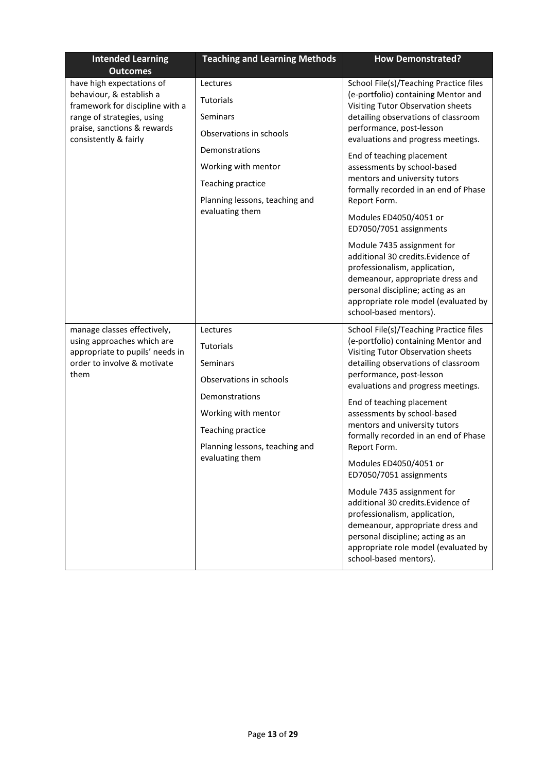| <b>Intended Learning</b><br><b>Outcomes</b>                                                                                                                                    | <b>Teaching and Learning Methods</b>                                                                                                                                                   | <b>How Demonstrated?</b>                                                                                                                                                                                                                                                                                                                                                                                                                                                                                                                                                                                                                                                              |
|--------------------------------------------------------------------------------------------------------------------------------------------------------------------------------|----------------------------------------------------------------------------------------------------------------------------------------------------------------------------------------|---------------------------------------------------------------------------------------------------------------------------------------------------------------------------------------------------------------------------------------------------------------------------------------------------------------------------------------------------------------------------------------------------------------------------------------------------------------------------------------------------------------------------------------------------------------------------------------------------------------------------------------------------------------------------------------|
| have high expectations of<br>behaviour, & establish a<br>framework for discipline with a<br>range of strategies, using<br>praise, sanctions & rewards<br>consistently & fairly | Lectures<br><b>Tutorials</b><br>Seminars<br>Observations in schools<br>Demonstrations<br>Working with mentor<br>Teaching practice<br>Planning lessons, teaching and<br>evaluating them | School File(s)/Teaching Practice files<br>(e-portfolio) containing Mentor and<br>Visiting Tutor Observation sheets<br>detailing observations of classroom<br>performance, post-lesson<br>evaluations and progress meetings.<br>End of teaching placement<br>assessments by school-based<br>mentors and university tutors<br>formally recorded in an end of Phase<br>Report Form.<br>Modules ED4050/4051 or<br>ED7050/7051 assignments                                                                                                                                                                                                                                                 |
|                                                                                                                                                                                |                                                                                                                                                                                        | Module 7435 assignment for<br>additional 30 credits. Evidence of<br>professionalism, application,<br>demeanour, appropriate dress and<br>personal discipline; acting as an<br>appropriate role model (evaluated by<br>school-based mentors).                                                                                                                                                                                                                                                                                                                                                                                                                                          |
| manage classes effectively,<br>using approaches which are<br>appropriate to pupils' needs in<br>order to involve & motivate<br>them                                            | Lectures<br><b>Tutorials</b><br>Seminars<br>Observations in schools<br>Demonstrations<br>Working with mentor<br>Teaching practice<br>Planning lessons, teaching and<br>evaluating them | School File(s)/Teaching Practice files<br>(e-portfolio) containing Mentor and<br>Visiting Tutor Observation sheets<br>detailing observations of classroom<br>performance, post-lesson<br>evaluations and progress meetings.<br>End of teaching placement<br>assessments by school-based<br>mentors and university tutors<br>formally recorded in an end of Phase<br>Report Form.<br>Modules ED4050/4051 or<br>ED7050/7051 assignments<br>Module 7435 assignment for<br>additional 30 credits. Evidence of<br>professionalism, application,<br>demeanour, appropriate dress and<br>personal discipline; acting as an<br>appropriate role model (evaluated by<br>school-based mentors). |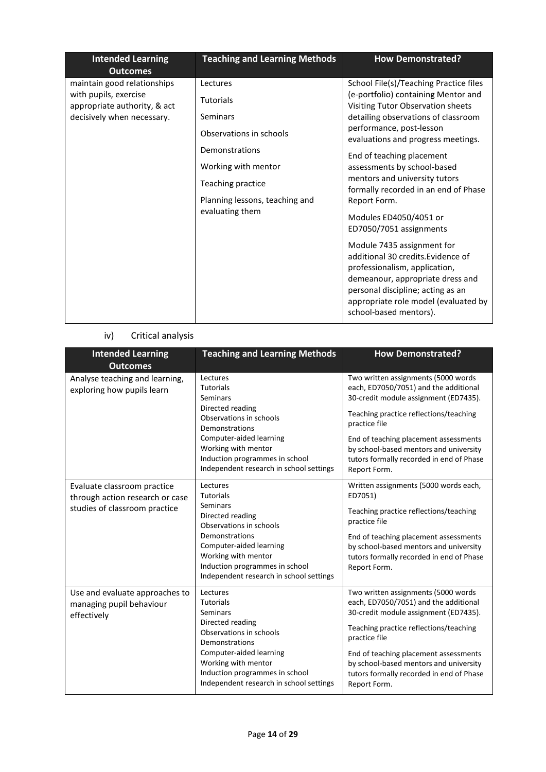| <b>Intended Learning</b><br><b>Outcomes</b>                                                                        | <b>Teaching and Learning Methods</b>                                                                                                                                                   | <b>How Demonstrated?</b>                                                                                                                                                                                                                                                                                                                                                                                                                                                                                                                                                                                                                                                              |
|--------------------------------------------------------------------------------------------------------------------|----------------------------------------------------------------------------------------------------------------------------------------------------------------------------------------|---------------------------------------------------------------------------------------------------------------------------------------------------------------------------------------------------------------------------------------------------------------------------------------------------------------------------------------------------------------------------------------------------------------------------------------------------------------------------------------------------------------------------------------------------------------------------------------------------------------------------------------------------------------------------------------|
| maintain good relationships<br>with pupils, exercise<br>appropriate authority, & act<br>decisively when necessary. | Lectures<br><b>Tutorials</b><br>Seminars<br>Observations in schools<br>Demonstrations<br>Working with mentor<br>Teaching practice<br>Planning lessons, teaching and<br>evaluating them | School File(s)/Teaching Practice files<br>(e-portfolio) containing Mentor and<br>Visiting Tutor Observation sheets<br>detailing observations of classroom<br>performance, post-lesson<br>evaluations and progress meetings.<br>End of teaching placement<br>assessments by school-based<br>mentors and university tutors<br>formally recorded in an end of Phase<br>Report Form.<br>Modules ED4050/4051 or<br>ED7050/7051 assignments<br>Module 7435 assignment for<br>additional 30 credits. Evidence of<br>professionalism, application,<br>demeanour, appropriate dress and<br>personal discipline; acting as an<br>appropriate role model (evaluated by<br>school-based mentors). |

## iv) Critical analysis

| <b>Intended Learning</b><br><b>Outcomes</b>                                                     | <b>Teaching and Learning Methods</b>                                                                                                                                                                                                            | <b>How Demonstrated?</b>                                                                                                                                                                                                                                                                                                        |
|-------------------------------------------------------------------------------------------------|-------------------------------------------------------------------------------------------------------------------------------------------------------------------------------------------------------------------------------------------------|---------------------------------------------------------------------------------------------------------------------------------------------------------------------------------------------------------------------------------------------------------------------------------------------------------------------------------|
| Analyse teaching and learning,<br>exploring how pupils learn                                    | Lectures<br><b>Tutorials</b><br><b>Seminars</b><br>Directed reading<br>Observations in schools<br>Demonstrations<br>Computer-aided learning<br>Working with mentor<br>Induction programmes in school<br>Independent research in school settings | Two written assignments (5000 words<br>each, ED7050/7051) and the additional<br>30-credit module assignment (ED7435).<br>Teaching practice reflections/teaching<br>practice file<br>End of teaching placement assessments<br>by school-based mentors and university<br>tutors formally recorded in end of Phase<br>Report Form. |
| Evaluate classroom practice<br>through action research or case<br>studies of classroom practice | Lectures<br><b>Tutorials</b><br>Seminars<br>Directed reading<br>Observations in schools<br>Demonstrations<br>Computer-aided learning<br>Working with mentor<br>Induction programmes in school<br>Independent research in school settings        | Written assignments (5000 words each,<br>ED7051)<br>Teaching practice reflections/teaching<br>practice file<br>End of teaching placement assessments<br>by school-based mentors and university<br>tutors formally recorded in end of Phase<br>Report Form.                                                                      |
| Use and evaluate approaches to<br>managing pupil behaviour<br>effectively                       | Lectures<br><b>Tutorials</b><br><b>Seminars</b><br>Directed reading<br>Observations in schools<br>Demonstrations<br>Computer-aided learning<br>Working with mentor<br>Induction programmes in school<br>Independent research in school settings | Two written assignments (5000 words<br>each, ED7050/7051) and the additional<br>30-credit module assignment (ED7435).<br>Teaching practice reflections/teaching<br>practice file<br>End of teaching placement assessments<br>by school-based mentors and university<br>tutors formally recorded in end of Phase<br>Report Form. |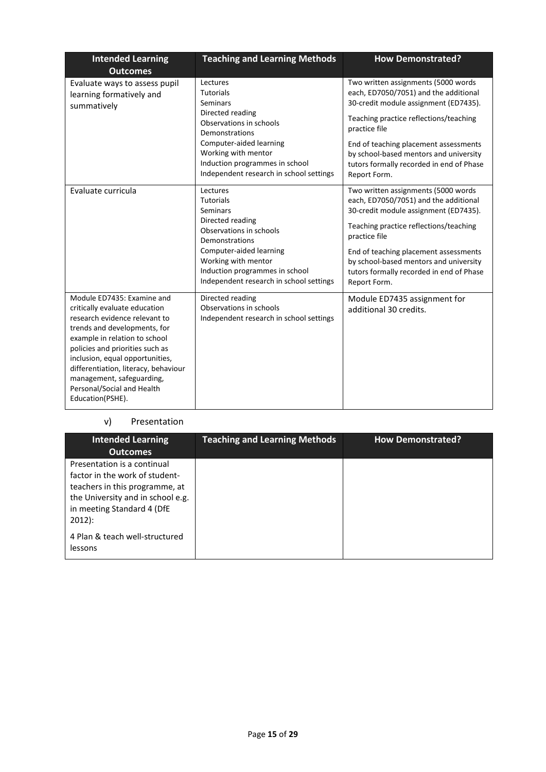| <b>Intended Learning</b><br><b>Outcomes</b>                                                                                                                                                                                                                                                                                                                | <b>Teaching and Learning Methods</b>                                                                                                                                                                                                     | <b>How Demonstrated?</b>                                                                                                                                                                                                                                                                                                        |
|------------------------------------------------------------------------------------------------------------------------------------------------------------------------------------------------------------------------------------------------------------------------------------------------------------------------------------------------------------|------------------------------------------------------------------------------------------------------------------------------------------------------------------------------------------------------------------------------------------|---------------------------------------------------------------------------------------------------------------------------------------------------------------------------------------------------------------------------------------------------------------------------------------------------------------------------------|
| Evaluate ways to assess pupil<br>learning formatively and<br>summatively                                                                                                                                                                                                                                                                                   | Lectures<br><b>Tutorials</b><br>Seminars<br>Directed reading<br>Observations in schools<br>Demonstrations<br>Computer-aided learning<br>Working with mentor<br>Induction programmes in school<br>Independent research in school settings | Two written assignments (5000 words<br>each, ED7050/7051) and the additional<br>30-credit module assignment (ED7435).<br>Teaching practice reflections/teaching<br>practice file<br>End of teaching placement assessments<br>by school-based mentors and university<br>tutors formally recorded in end of Phase<br>Report Form. |
| Evaluate curricula                                                                                                                                                                                                                                                                                                                                         | Lectures<br><b>Tutorials</b><br>Seminars<br>Directed reading<br>Observations in schools<br>Demonstrations<br>Computer-aided learning<br>Working with mentor<br>Induction programmes in school<br>Independent research in school settings | Two written assignments (5000 words<br>each, ED7050/7051) and the additional<br>30-credit module assignment (ED7435).<br>Teaching practice reflections/teaching<br>practice file<br>End of teaching placement assessments<br>by school-based mentors and university<br>tutors formally recorded in end of Phase<br>Report Form. |
| Module ED7435: Examine and<br>critically evaluate education<br>research evidence relevant to<br>trends and developments, for<br>example in relation to school<br>policies and priorities such as<br>inclusion, equal opportunities,<br>differentiation, literacy, behaviour<br>management, safeguarding,<br>Personal/Social and Health<br>Education(PSHE). | Directed reading<br>Observations in schools<br>Independent research in school settings                                                                                                                                                   | Module ED7435 assignment for<br>additional 30 credits.                                                                                                                                                                                                                                                                          |

## v) Presentation

| <b>Intended Learning</b><br><b>Outcomes</b>                                                                                                                                    | <b>Teaching and Learning Methods</b> | <b>How Demonstrated?</b> |
|--------------------------------------------------------------------------------------------------------------------------------------------------------------------------------|--------------------------------------|--------------------------|
| Presentation is a continual<br>factor in the work of student-<br>teachers in this programme, at<br>the University and in school e.g.<br>in meeting Standard 4 (DfE<br>$2012$ : |                                      |                          |
| 4 Plan & teach well-structured<br>lessons                                                                                                                                      |                                      |                          |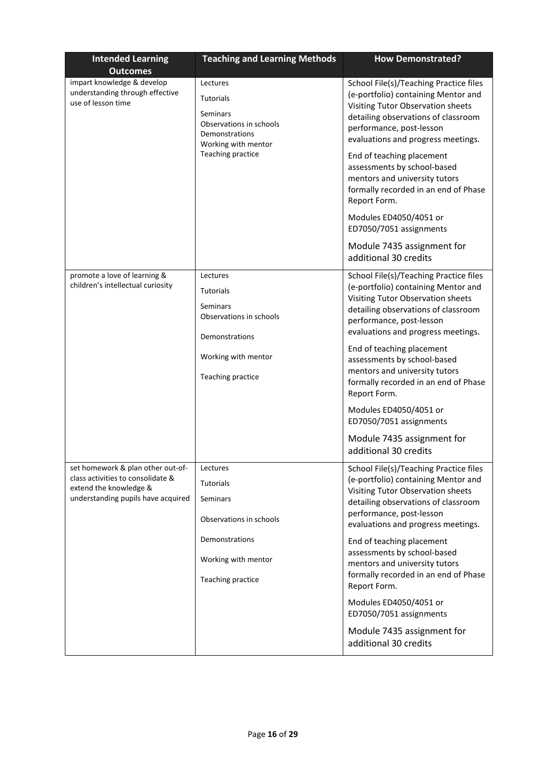| <b>Intended Learning</b><br><b>Outcomes</b>                                                                                            | <b>Teaching and Learning Methods</b>                                                                         | <b>How Demonstrated?</b>                                                                                                                                                                                                    |
|----------------------------------------------------------------------------------------------------------------------------------------|--------------------------------------------------------------------------------------------------------------|-----------------------------------------------------------------------------------------------------------------------------------------------------------------------------------------------------------------------------|
| impart knowledge & develop<br>understanding through effective<br>use of lesson time                                                    | Lectures<br><b>Tutorials</b><br>Seminars<br>Observations in schools<br>Demonstrations<br>Working with mentor | School File(s)/Teaching Practice files<br>(e-portfolio) containing Mentor and<br>Visiting Tutor Observation sheets<br>detailing observations of classroom<br>performance, post-lesson<br>evaluations and progress meetings. |
|                                                                                                                                        | Teaching practice                                                                                            | End of teaching placement<br>assessments by school-based<br>mentors and university tutors<br>formally recorded in an end of Phase<br>Report Form.                                                                           |
|                                                                                                                                        |                                                                                                              | Modules ED4050/4051 or<br>ED7050/7051 assignments                                                                                                                                                                           |
|                                                                                                                                        |                                                                                                              | Module 7435 assignment for<br>additional 30 credits                                                                                                                                                                         |
| promote a love of learning &<br>children's intellectual curiosity                                                                      | Lectures<br><b>Tutorials</b><br>Seminars<br>Observations in schools                                          | School File(s)/Teaching Practice files<br>(e-portfolio) containing Mentor and<br>Visiting Tutor Observation sheets<br>detailing observations of classroom<br>performance, post-lesson<br>evaluations and progress meetings. |
|                                                                                                                                        | Demonstrations<br>Working with mentor<br>Teaching practice                                                   | End of teaching placement<br>assessments by school-based<br>mentors and university tutors<br>formally recorded in an end of Phase<br>Report Form.                                                                           |
|                                                                                                                                        |                                                                                                              | Modules ED4050/4051 or<br>ED7050/7051 assignments                                                                                                                                                                           |
|                                                                                                                                        |                                                                                                              | Module 7435 assignment for<br>additional 30 credits                                                                                                                                                                         |
| set homework & plan other out-of-<br>class activities to consolidate &<br>extend the knowledge &<br>understanding pupils have acquired | Lectures<br>Tutorials<br>Seminars<br>Observations in schools                                                 | School File(s)/Teaching Practice files<br>(e-portfolio) containing Mentor and<br>Visiting Tutor Observation sheets<br>detailing observations of classroom<br>performance, post-lesson<br>evaluations and progress meetings. |
|                                                                                                                                        | Demonstrations<br>Working with mentor                                                                        | End of teaching placement<br>assessments by school-based<br>mentors and university tutors<br>formally recorded in an end of Phase                                                                                           |
|                                                                                                                                        | Teaching practice                                                                                            | Report Form.<br>Modules ED4050/4051 or                                                                                                                                                                                      |
|                                                                                                                                        |                                                                                                              | ED7050/7051 assignments<br>Module 7435 assignment for<br>additional 30 credits                                                                                                                                              |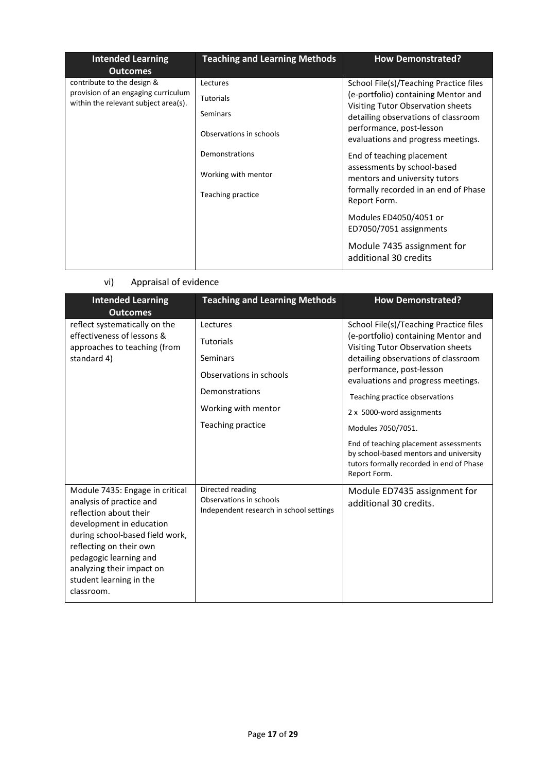| <b>Intended Learning</b><br><b>Outcomes</b>                                 | <b>Teaching and Learning Methods</b> | <b>How Demonstrated?</b>                                                 |
|-----------------------------------------------------------------------------|--------------------------------------|--------------------------------------------------------------------------|
| contribute to the design &                                                  | Lectures                             | School File(s)/Teaching Practice files                                   |
| provision of an engaging curriculum<br>within the relevant subject area(s). | <b>Tutorials</b>                     | (e-portfolio) containing Mentor and<br>Visiting Tutor Observation sheets |
|                                                                             | Seminars                             | detailing observations of classroom                                      |
|                                                                             | Observations in schools              | performance, post-lesson<br>evaluations and progress meetings.           |
|                                                                             | Demonstrations                       | End of teaching placement                                                |
|                                                                             | Working with mentor                  | assessments by school-based<br>mentors and university tutors             |
|                                                                             | Teaching practice                    | formally recorded in an end of Phase<br>Report Form.                     |
|                                                                             |                                      | Modules ED4050/4051 or<br>ED7050/7051 assignments                        |
|                                                                             |                                      | Module 7435 assignment for<br>additional 30 credits                      |

## vi) Appraisal of evidence

| <b>Intended Learning</b><br><b>Outcomes</b>                                                                                                                                                                                                                                     | <b>Teaching and Learning Methods</b>                                                   | <b>How Demonstrated?</b>                                                                                                                    |
|---------------------------------------------------------------------------------------------------------------------------------------------------------------------------------------------------------------------------------------------------------------------------------|----------------------------------------------------------------------------------------|---------------------------------------------------------------------------------------------------------------------------------------------|
| reflect systematically on the                                                                                                                                                                                                                                                   | Lectures                                                                               | School File(s)/Teaching Practice files                                                                                                      |
| effectiveness of lessons &<br>approaches to teaching (from                                                                                                                                                                                                                      | <b>Tutorials</b>                                                                       | (e-portfolio) containing Mentor and<br>Visiting Tutor Observation sheets                                                                    |
| standard 4)                                                                                                                                                                                                                                                                     | Seminars                                                                               | detailing observations of classroom                                                                                                         |
|                                                                                                                                                                                                                                                                                 | Observations in schools                                                                | performance, post-lesson<br>evaluations and progress meetings.                                                                              |
|                                                                                                                                                                                                                                                                                 | Demonstrations                                                                         | Teaching practice observations                                                                                                              |
|                                                                                                                                                                                                                                                                                 | Working with mentor                                                                    | 2 x 5000-word assignments                                                                                                                   |
|                                                                                                                                                                                                                                                                                 | Teaching practice                                                                      | Modules 7050/7051.                                                                                                                          |
|                                                                                                                                                                                                                                                                                 |                                                                                        | End of teaching placement assessments<br>by school-based mentors and university<br>tutors formally recorded in end of Phase<br>Report Form. |
| Module 7435: Engage in critical<br>analysis of practice and<br>reflection about their<br>development in education<br>during school-based field work,<br>reflecting on their own<br>pedagogic learning and<br>analyzing their impact on<br>student learning in the<br>classroom. | Directed reading<br>Observations in schools<br>Independent research in school settings | Module ED7435 assignment for<br>additional 30 credits.                                                                                      |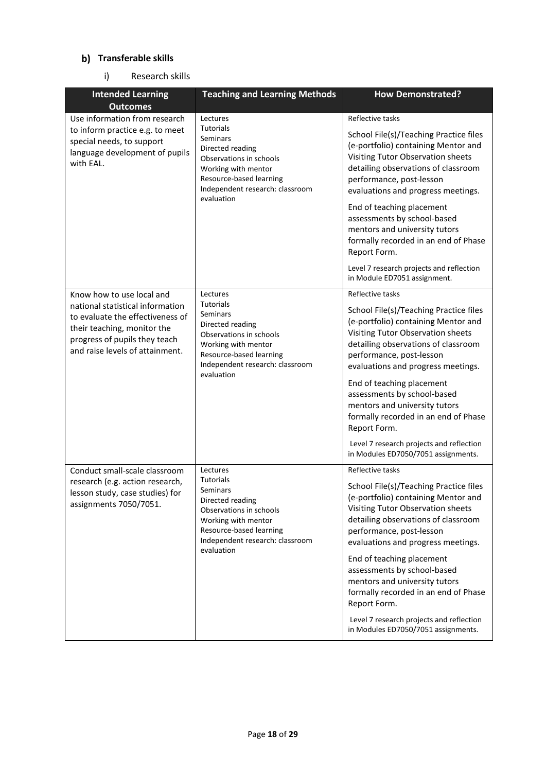### **Transferable skills**

### i) Research skills

| <b>Intended Learning</b><br><b>Outcomes</b>                                                                                                                             | <b>Teaching and Learning Methods</b>                                                                                                                                           | <b>How Demonstrated?</b>                                                                                                                                                                                                                                                                                                                                                                                                                                            |
|-------------------------------------------------------------------------------------------------------------------------------------------------------------------------|--------------------------------------------------------------------------------------------------------------------------------------------------------------------------------|---------------------------------------------------------------------------------------------------------------------------------------------------------------------------------------------------------------------------------------------------------------------------------------------------------------------------------------------------------------------------------------------------------------------------------------------------------------------|
| Use information from research                                                                                                                                           | Lectures                                                                                                                                                                       | Reflective tasks                                                                                                                                                                                                                                                                                                                                                                                                                                                    |
| to inform practice e.g. to meet<br>special needs, to support<br>language development of pupils<br>with EAL.                                                             | Tutorials<br><b>Seminars</b><br>Directed reading<br>Observations in schools<br>Working with mentor<br>Resource-based learning<br>Independent research: classroom               | School File(s)/Teaching Practice files<br>(e-portfolio) containing Mentor and<br>Visiting Tutor Observation sheets<br>detailing observations of classroom<br>performance, post-lesson<br>evaluations and progress meetings.                                                                                                                                                                                                                                         |
|                                                                                                                                                                         | evaluation                                                                                                                                                                     | End of teaching placement<br>assessments by school-based<br>mentors and university tutors<br>formally recorded in an end of Phase<br>Report Form.                                                                                                                                                                                                                                                                                                                   |
|                                                                                                                                                                         |                                                                                                                                                                                | Level 7 research projects and reflection<br>in Module ED7051 assignment.                                                                                                                                                                                                                                                                                                                                                                                            |
| Know how to use local and                                                                                                                                               | Lectures                                                                                                                                                                       | Reflective tasks                                                                                                                                                                                                                                                                                                                                                                                                                                                    |
| national statistical information<br>to evaluate the effectiveness of<br>their teaching, monitor the<br>progress of pupils they teach<br>and raise levels of attainment. | <b>Tutorials</b><br>Seminars<br>Directed reading<br>Observations in schools<br>Working with mentor<br>Resource-based learning<br>Independent research: classroom<br>evaluation | School File(s)/Teaching Practice files<br>(e-portfolio) containing Mentor and<br>Visiting Tutor Observation sheets<br>detailing observations of classroom<br>performance, post-lesson<br>evaluations and progress meetings.<br>End of teaching placement<br>assessments by school-based<br>mentors and university tutors<br>formally recorded in an end of Phase<br>Report Form.<br>Level 7 research projects and reflection<br>in Modules ED7050/7051 assignments. |
| Conduct small-scale classroom                                                                                                                                           | Lectures                                                                                                                                                                       | Reflective tasks                                                                                                                                                                                                                                                                                                                                                                                                                                                    |
| research (e.g. action research,<br>lesson study, case studies) for<br>assignments 7050/7051.                                                                            | Tutorials<br><b>Seminars</b><br>Directed reading<br>Observations in schools<br>Working with mentor<br>Resource-based learning<br>Independent research: classroom<br>evaluation | School File(s)/Teaching Practice files<br>(e-portfolio) containing Mentor and<br>Visiting Tutor Observation sheets<br>detailing observations of classroom<br>performance, post-lesson<br>evaluations and progress meetings.<br>End of teaching placement<br>assessments by school-based<br>mentors and university tutors<br>formally recorded in an end of Phase<br>Report Form.                                                                                    |
|                                                                                                                                                                         |                                                                                                                                                                                | Level 7 research projects and reflection<br>in Modules ED7050/7051 assignments.                                                                                                                                                                                                                                                                                                                                                                                     |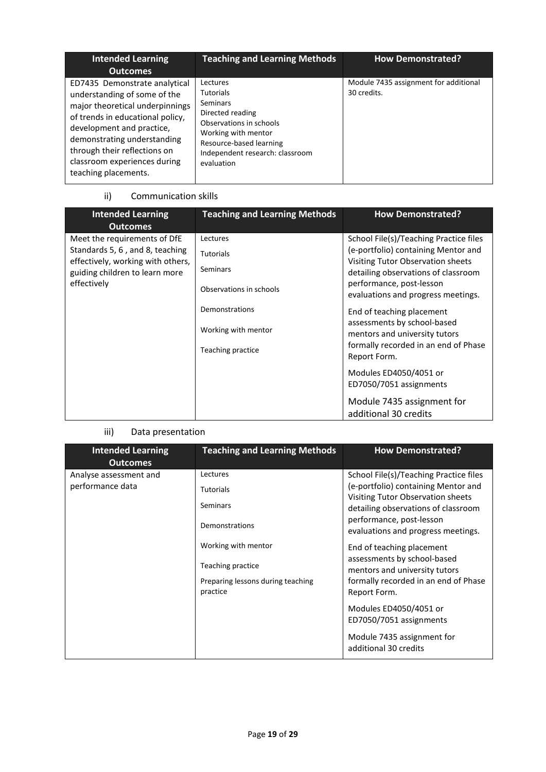| <b>Intended Learning</b><br><b>Outcomes</b>                                                                                                                                                                                                                                              | <b>Teaching and Learning Methods</b>                                                                                                                                                              | <b>How Demonstrated?</b>                             |
|------------------------------------------------------------------------------------------------------------------------------------------------------------------------------------------------------------------------------------------------------------------------------------------|---------------------------------------------------------------------------------------------------------------------------------------------------------------------------------------------------|------------------------------------------------------|
| ED7435 Demonstrate analytical<br>understanding of some of the<br>major theoretical underpinnings<br>of trends in educational policy,<br>development and practice,<br>demonstrating understanding<br>through their reflections on<br>classroom experiences during<br>teaching placements. | Lectures<br><b>Tutorials</b><br><b>Seminars</b><br>Directed reading<br>Observations in schools<br>Working with mentor<br>Resource-based learning<br>Independent research: classroom<br>evaluation | Module 7435 assignment for additional<br>30 credits. |

### ii) Communication skills

| <b>Intended Learning</b><br><b>Outcomes</b>                                                                                                           | <b>Teaching and Learning Methods</b>                                | <b>How Demonstrated?</b>                                                                                                                                                                                                    |
|-------------------------------------------------------------------------------------------------------------------------------------------------------|---------------------------------------------------------------------|-----------------------------------------------------------------------------------------------------------------------------------------------------------------------------------------------------------------------------|
| Meet the requirements of DfE<br>Standards 5, 6, and 8, teaching<br>effectively, working with others,<br>guiding children to learn more<br>effectively | Lectures<br><b>Tutorials</b><br>Seminars<br>Observations in schools | School File(s)/Teaching Practice files<br>(e-portfolio) containing Mentor and<br>Visiting Tutor Observation sheets<br>detailing observations of classroom<br>performance, post-lesson<br>evaluations and progress meetings. |
|                                                                                                                                                       | Demonstrations<br>Working with mentor<br>Teaching practice          | End of teaching placement<br>assessments by school-based<br>mentors and university tutors<br>formally recorded in an end of Phase<br>Report Form.                                                                           |
|                                                                                                                                                       |                                                                     | Modules ED4050/4051 or<br>ED7050/7051 assignments<br>Module 7435 assignment for<br>additional 30 credits                                                                                                                    |

## iii) Data presentation

| <b>Intended Learning</b><br><b>Outcomes</b> | <b>Teaching and Learning Methods</b>                                                      | <b>How Demonstrated?</b>                                                                                                                                                                                                    |
|---------------------------------------------|-------------------------------------------------------------------------------------------|-----------------------------------------------------------------------------------------------------------------------------------------------------------------------------------------------------------------------------|
| Analyse assessment and<br>performance data  | Lectures<br><b>Tutorials</b><br>Seminars<br>Demonstrations                                | School File(s)/Teaching Practice files<br>(e-portfolio) containing Mentor and<br>Visiting Tutor Observation sheets<br>detailing observations of classroom<br>performance, post-lesson<br>evaluations and progress meetings. |
|                                             | Working with mentor<br>Teaching practice<br>Preparing lessons during teaching<br>practice | End of teaching placement<br>assessments by school-based<br>mentors and university tutors<br>formally recorded in an end of Phase<br>Report Form.                                                                           |
|                                             |                                                                                           | Modules ED4050/4051 or<br>ED7050/7051 assignments<br>Module 7435 assignment for<br>additional 30 credits                                                                                                                    |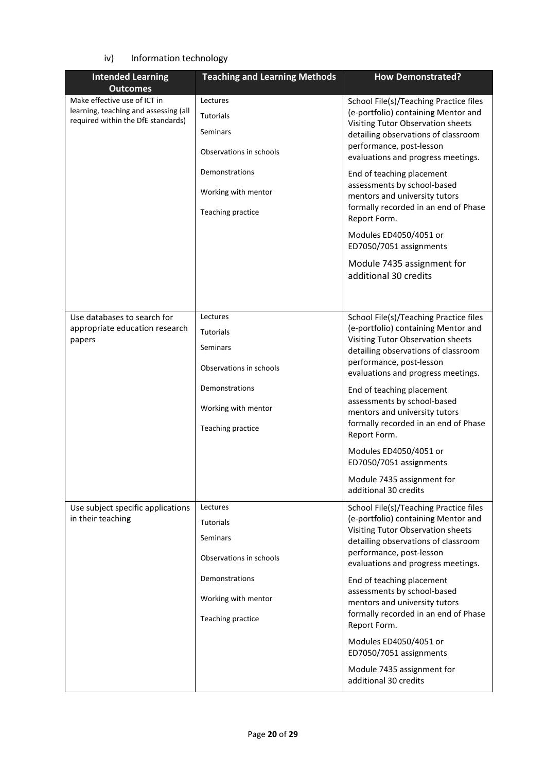### iv) Information technology

| <b>Intended Learning</b>                                                                                    | <b>Teaching and Learning Methods</b>                                                                                              | <b>How Demonstrated?</b>                                                                                                                                                                                                                                                                                                                                                                                                                                                                     |
|-------------------------------------------------------------------------------------------------------------|-----------------------------------------------------------------------------------------------------------------------------------|----------------------------------------------------------------------------------------------------------------------------------------------------------------------------------------------------------------------------------------------------------------------------------------------------------------------------------------------------------------------------------------------------------------------------------------------------------------------------------------------|
| <b>Outcomes</b>                                                                                             |                                                                                                                                   |                                                                                                                                                                                                                                                                                                                                                                                                                                                                                              |
| Make effective use of ICT in<br>learning, teaching and assessing (all<br>required within the DfE standards) | Lectures<br><b>Tutorials</b><br>Seminars<br>Observations in schools<br>Demonstrations<br>Working with mentor<br>Teaching practice | School File(s)/Teaching Practice files<br>(e-portfolio) containing Mentor and<br>Visiting Tutor Observation sheets<br>detailing observations of classroom<br>performance, post-lesson<br>evaluations and progress meetings.<br>End of teaching placement<br>assessments by school-based<br>mentors and university tutors<br>formally recorded in an end of Phase<br>Report Form.<br>Modules ED4050/4051 or<br>ED7050/7051 assignments<br>Module 7435 assignment for<br>additional 30 credits |
|                                                                                                             |                                                                                                                                   |                                                                                                                                                                                                                                                                                                                                                                                                                                                                                              |
| Use databases to search for<br>appropriate education research<br>papers                                     | Lectures<br>Tutorials<br><b>Seminars</b><br>Observations in schools<br>Demonstrations<br>Working with mentor                      | School File(s)/Teaching Practice files<br>(e-portfolio) containing Mentor and<br>Visiting Tutor Observation sheets<br>detailing observations of classroom<br>performance, post-lesson<br>evaluations and progress meetings.<br>End of teaching placement<br>assessments by school-based<br>mentors and university tutors                                                                                                                                                                     |
|                                                                                                             | Teaching practice                                                                                                                 | formally recorded in an end of Phase<br>Report Form.<br>Modules ED4050/4051 or                                                                                                                                                                                                                                                                                                                                                                                                               |
|                                                                                                             |                                                                                                                                   | ED7050/7051 assignments<br>Module 7435 assignment for<br>additional 30 credits                                                                                                                                                                                                                                                                                                                                                                                                               |
| Use subject specific applications                                                                           | Lectures                                                                                                                          |                                                                                                                                                                                                                                                                                                                                                                                                                                                                                              |
| in their teaching                                                                                           | Tutorials<br><b>Seminars</b><br>Observations in schools                                                                           | School File(s)/Teaching Practice files<br>(e-portfolio) containing Mentor and<br>Visiting Tutor Observation sheets<br>detailing observations of classroom<br>performance, post-lesson<br>evaluations and progress meetings.                                                                                                                                                                                                                                                                  |
|                                                                                                             | Demonstrations<br>Working with mentor<br>Teaching practice                                                                        | End of teaching placement<br>assessments by school-based<br>mentors and university tutors<br>formally recorded in an end of Phase<br>Report Form.                                                                                                                                                                                                                                                                                                                                            |
|                                                                                                             |                                                                                                                                   | Modules ED4050/4051 or<br>ED7050/7051 assignments                                                                                                                                                                                                                                                                                                                                                                                                                                            |
|                                                                                                             |                                                                                                                                   | Module 7435 assignment for<br>additional 30 credits                                                                                                                                                                                                                                                                                                                                                                                                                                          |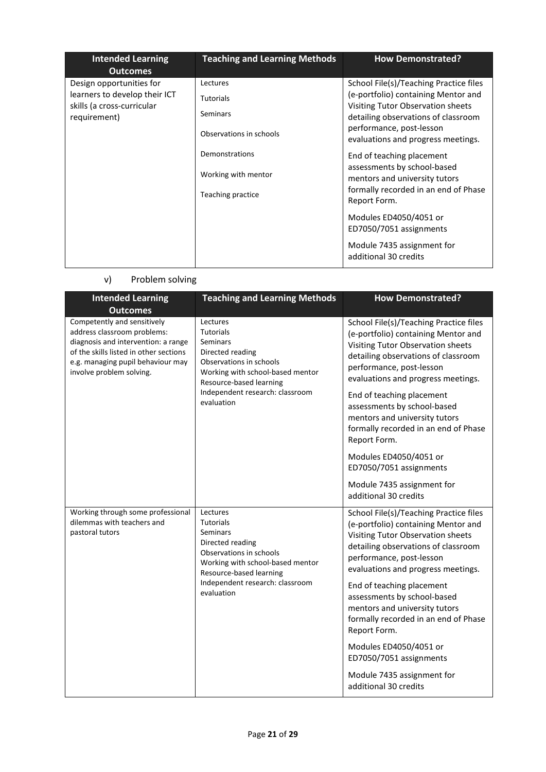| <b>Intended Learning</b><br><b>Outcomes</b>                                                             | <b>Teaching and Learning Methods</b>                                | <b>How Demonstrated?</b>                                                                                                                                                                                                    |
|---------------------------------------------------------------------------------------------------------|---------------------------------------------------------------------|-----------------------------------------------------------------------------------------------------------------------------------------------------------------------------------------------------------------------------|
| Design opportunities for<br>learners to develop their ICT<br>skills (a cross-curricular<br>requirement) | Lectures<br><b>Tutorials</b><br>Seminars<br>Observations in schools | School File(s)/Teaching Practice files<br>(e-portfolio) containing Mentor and<br>Visiting Tutor Observation sheets<br>detailing observations of classroom<br>performance, post-lesson<br>evaluations and progress meetings. |
|                                                                                                         | Demonstrations<br>Working with mentor<br>Teaching practice          | End of teaching placement<br>assessments by school-based<br>mentors and university tutors<br>formally recorded in an end of Phase<br>Report Form.                                                                           |
|                                                                                                         |                                                                     | Modules ED4050/4051 or<br>ED7050/7051 assignments<br>Module 7435 assignment for<br>additional 30 credits                                                                                                                    |

## v) Problem solving

| <b>Intended Learning</b><br><b>Outcomes</b>                                                                                                                                                                  | <b>Teaching and Learning Methods</b>                                                                                                                                                                           | <b>How Demonstrated?</b>                                                                                                                                                                                                                                                                                                                                                                                   |
|--------------------------------------------------------------------------------------------------------------------------------------------------------------------------------------------------------------|----------------------------------------------------------------------------------------------------------------------------------------------------------------------------------------------------------------|------------------------------------------------------------------------------------------------------------------------------------------------------------------------------------------------------------------------------------------------------------------------------------------------------------------------------------------------------------------------------------------------------------|
| Competently and sensitively<br>address classroom problems:<br>diagnosis and intervention: a range<br>of the skills listed in other sections<br>e.g. managing pupil behaviour may<br>involve problem solving. | Lectures<br><b>Tutorials</b><br><b>Seminars</b><br>Directed reading<br>Observations in schools<br>Working with school-based mentor<br>Resource-based learning<br>Independent research: classroom<br>evaluation | School File(s)/Teaching Practice files<br>(e-portfolio) containing Mentor and<br>Visiting Tutor Observation sheets<br>detailing observations of classroom<br>performance, post-lesson<br>evaluations and progress meetings.<br>End of teaching placement<br>assessments by school-based<br>mentors and university tutors<br>formally recorded in an end of Phase<br>Report Form.<br>Modules ED4050/4051 or |
|                                                                                                                                                                                                              |                                                                                                                                                                                                                | ED7050/7051 assignments<br>Module 7435 assignment for                                                                                                                                                                                                                                                                                                                                                      |
|                                                                                                                                                                                                              |                                                                                                                                                                                                                | additional 30 credits                                                                                                                                                                                                                                                                                                                                                                                      |
| Working through some professional<br>dilemmas with teachers and<br>pastoral tutors                                                                                                                           | Lectures<br><b>Tutorials</b><br>Seminars<br>Directed reading<br>Observations in schools<br>Working with school-based mentor<br>Resource-based learning<br>Independent research: classroom<br>evaluation        | School File(s)/Teaching Practice files<br>(e-portfolio) containing Mentor and<br>Visiting Tutor Observation sheets<br>detailing observations of classroom<br>performance, post-lesson<br>evaluations and progress meetings.<br>End of teaching placement<br>assessments by school-based<br>mentors and university tutors<br>formally recorded in an end of Phase<br>Report Form.                           |
|                                                                                                                                                                                                              |                                                                                                                                                                                                                | Modules ED4050/4051 or<br>ED7050/7051 assignments                                                                                                                                                                                                                                                                                                                                                          |
|                                                                                                                                                                                                              |                                                                                                                                                                                                                | Module 7435 assignment for<br>additional 30 credits                                                                                                                                                                                                                                                                                                                                                        |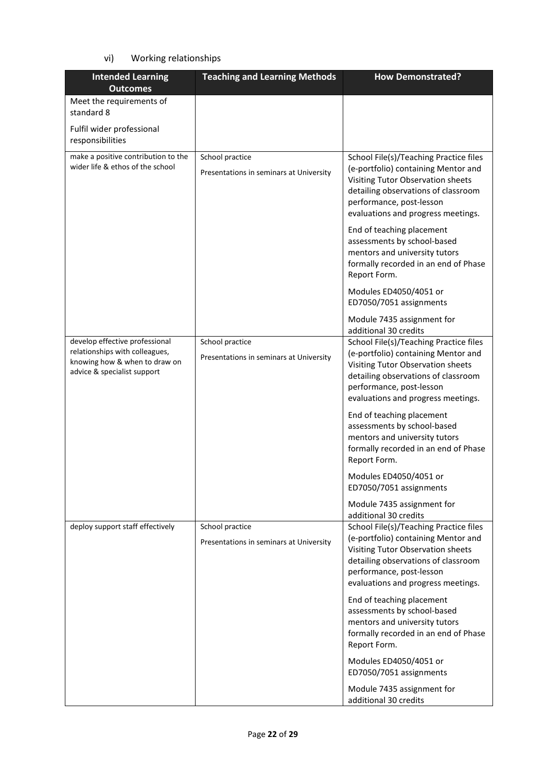### vi) Working relationships

| <b>Intended Learning</b><br><b>Outcomes</b>                                                                                      | <b>Teaching and Learning Methods</b>                       | <b>How Demonstrated?</b>                                                                                                                                                                                                                                                                                                                                                                                                              |
|----------------------------------------------------------------------------------------------------------------------------------|------------------------------------------------------------|---------------------------------------------------------------------------------------------------------------------------------------------------------------------------------------------------------------------------------------------------------------------------------------------------------------------------------------------------------------------------------------------------------------------------------------|
| Meet the requirements of<br>standard 8                                                                                           |                                                            |                                                                                                                                                                                                                                                                                                                                                                                                                                       |
| Fulfil wider professional<br>responsibilities                                                                                    |                                                            |                                                                                                                                                                                                                                                                                                                                                                                                                                       |
| make a positive contribution to the<br>wider life & ethos of the school                                                          | School practice<br>Presentations in seminars at University | School File(s)/Teaching Practice files<br>(e-portfolio) containing Mentor and<br>Visiting Tutor Observation sheets<br>detailing observations of classroom<br>performance, post-lesson<br>evaluations and progress meetings.<br>End of teaching placement<br>assessments by school-based<br>mentors and university tutors<br>formally recorded in an end of Phase<br>Report Form.<br>Modules ED4050/4051 or<br>ED7050/7051 assignments |
|                                                                                                                                  |                                                            | Module 7435 assignment for<br>additional 30 credits                                                                                                                                                                                                                                                                                                                                                                                   |
| develop effective professional<br>relationships with colleagues,<br>knowing how & when to draw on<br>advice & specialist support | School practice<br>Presentations in seminars at University | School File(s)/Teaching Practice files<br>(e-portfolio) containing Mentor and<br>Visiting Tutor Observation sheets<br>detailing observations of classroom<br>performance, post-lesson<br>evaluations and progress meetings.                                                                                                                                                                                                           |
|                                                                                                                                  |                                                            | End of teaching placement<br>assessments by school-based<br>mentors and university tutors<br>formally recorded in an end of Phase<br>Report Form.                                                                                                                                                                                                                                                                                     |
|                                                                                                                                  |                                                            | Modules ED4050/4051 or<br>ED7050/7051 assignments                                                                                                                                                                                                                                                                                                                                                                                     |
| deploy support staff effectively                                                                                                 | School practice<br>Presentations in seminars at University | Module 7435 assignment for<br>additional 30 credits<br>School File(s)/Teaching Practice files<br>(e-portfolio) containing Mentor and<br>Visiting Tutor Observation sheets<br>detailing observations of classroom<br>performance, post-lesson<br>evaluations and progress meetings.                                                                                                                                                    |
|                                                                                                                                  |                                                            | End of teaching placement<br>assessments by school-based<br>mentors and university tutors<br>formally recorded in an end of Phase<br>Report Form.                                                                                                                                                                                                                                                                                     |
|                                                                                                                                  |                                                            | Modules ED4050/4051 or<br>ED7050/7051 assignments                                                                                                                                                                                                                                                                                                                                                                                     |
|                                                                                                                                  |                                                            | Module 7435 assignment for<br>additional 30 credits                                                                                                                                                                                                                                                                                                                                                                                   |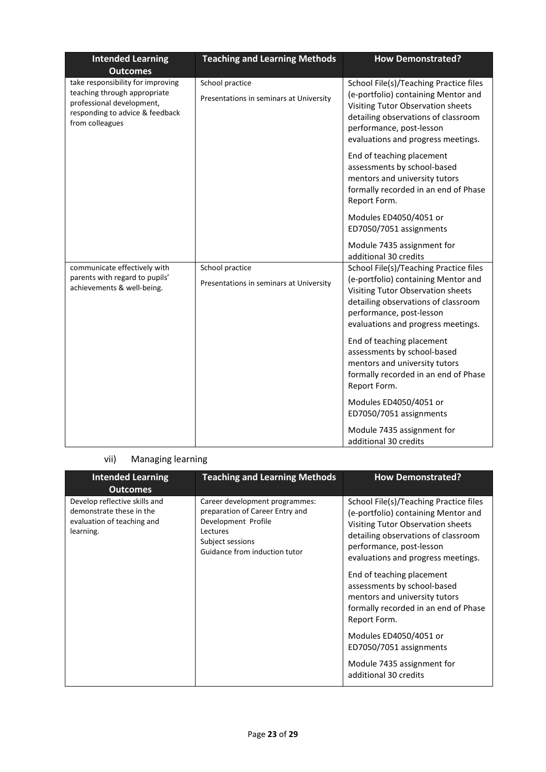| <b>Intended Learning</b><br><b>Outcomes</b>                                                                                                          | <b>Teaching and Learning Methods</b>                       | <b>How Demonstrated?</b>                                                                                                                                                                                                    |
|------------------------------------------------------------------------------------------------------------------------------------------------------|------------------------------------------------------------|-----------------------------------------------------------------------------------------------------------------------------------------------------------------------------------------------------------------------------|
| take responsibility for improving<br>teaching through appropriate<br>professional development,<br>responding to advice & feedback<br>from colleagues | School practice<br>Presentations in seminars at University | School File(s)/Teaching Practice files<br>(e-portfolio) containing Mentor and<br>Visiting Tutor Observation sheets<br>detailing observations of classroom<br>performance, post-lesson<br>evaluations and progress meetings. |
|                                                                                                                                                      |                                                            | End of teaching placement<br>assessments by school-based<br>mentors and university tutors<br>formally recorded in an end of Phase<br>Report Form.                                                                           |
|                                                                                                                                                      |                                                            | Modules ED4050/4051 or<br>ED7050/7051 assignments                                                                                                                                                                           |
|                                                                                                                                                      |                                                            | Module 7435 assignment for<br>additional 30 credits                                                                                                                                                                         |
| communicate effectively with<br>parents with regard to pupils'<br>achievements & well-being.                                                         | School practice<br>Presentations in seminars at University | School File(s)/Teaching Practice files<br>(e-portfolio) containing Mentor and<br>Visiting Tutor Observation sheets<br>detailing observations of classroom<br>performance, post-lesson<br>evaluations and progress meetings. |
|                                                                                                                                                      |                                                            | End of teaching placement<br>assessments by school-based<br>mentors and university tutors<br>formally recorded in an end of Phase<br>Report Form.                                                                           |
|                                                                                                                                                      |                                                            | Modules ED4050/4051 or<br>ED7050/7051 assignments                                                                                                                                                                           |
|                                                                                                                                                      |                                                            | Module 7435 assignment for<br>additional 30 credits                                                                                                                                                                         |

## vii) Managing learning

| <b>Intended Learning</b><br><b>Outcomes</b>                                                          | <b>Teaching and Learning Methods</b>                                                                                                                      | <b>How Demonstrated?</b>                                                                                                                                                                                                    |
|------------------------------------------------------------------------------------------------------|-----------------------------------------------------------------------------------------------------------------------------------------------------------|-----------------------------------------------------------------------------------------------------------------------------------------------------------------------------------------------------------------------------|
| Develop reflective skills and<br>demonstrate these in the<br>evaluation of teaching and<br>learning. | Career development programmes:<br>preparation of Career Entry and<br>Development Profile<br>Lectures<br>Subject sessions<br>Guidance from induction tutor | School File(s)/Teaching Practice files<br>(e-portfolio) containing Mentor and<br>Visiting Tutor Observation sheets<br>detailing observations of classroom<br>performance, post-lesson<br>evaluations and progress meetings. |
|                                                                                                      |                                                                                                                                                           | End of teaching placement<br>assessments by school-based<br>mentors and university tutors<br>formally recorded in an end of Phase<br>Report Form.                                                                           |
|                                                                                                      |                                                                                                                                                           | Modules ED4050/4051 or<br>ED7050/7051 assignments                                                                                                                                                                           |
|                                                                                                      |                                                                                                                                                           | Module 7435 assignment for<br>additional 30 credits                                                                                                                                                                         |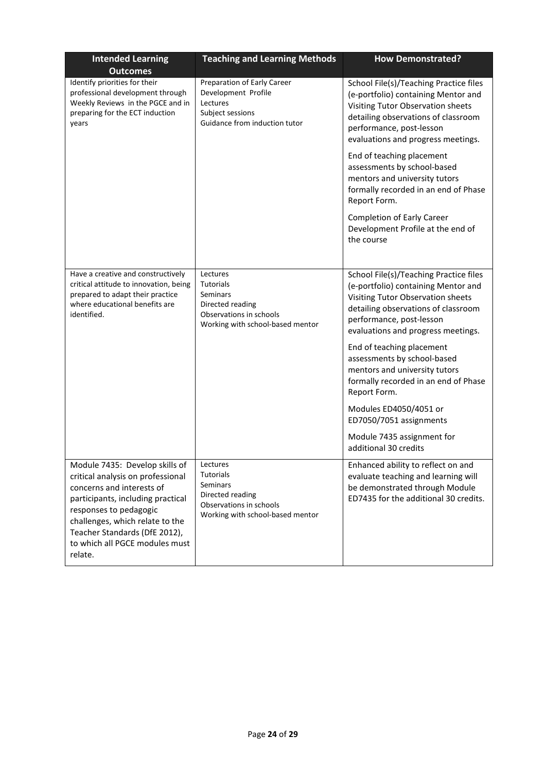| <b>Intended Learning</b><br><b>Outcomes</b>                                                                                                                                                                                                                                      | <b>Teaching and Learning Methods</b>                                                                                        | <b>How Demonstrated?</b>                                                                                                                                                                                                    |
|----------------------------------------------------------------------------------------------------------------------------------------------------------------------------------------------------------------------------------------------------------------------------------|-----------------------------------------------------------------------------------------------------------------------------|-----------------------------------------------------------------------------------------------------------------------------------------------------------------------------------------------------------------------------|
| Identify priorities for their<br>professional development through<br>Weekly Reviews in the PGCE and in<br>preparing for the ECT induction<br>years                                                                                                                               | Preparation of Early Career<br>Development Profile<br>Lectures<br>Subject sessions<br>Guidance from induction tutor         | School File(s)/Teaching Practice files<br>(e-portfolio) containing Mentor and<br>Visiting Tutor Observation sheets<br>detailing observations of classroom<br>performance, post-lesson<br>evaluations and progress meetings. |
|                                                                                                                                                                                                                                                                                  |                                                                                                                             | End of teaching placement<br>assessments by school-based<br>mentors and university tutors<br>formally recorded in an end of Phase<br>Report Form.                                                                           |
|                                                                                                                                                                                                                                                                                  |                                                                                                                             | <b>Completion of Early Career</b><br>Development Profile at the end of<br>the course                                                                                                                                        |
| Have a creative and constructively<br>critical attitude to innovation, being<br>prepared to adapt their practice<br>where educational benefits are<br>identified.                                                                                                                | Lectures<br><b>Tutorials</b><br>Seminars<br>Directed reading<br>Observations in schools<br>Working with school-based mentor | School File(s)/Teaching Practice files<br>(e-portfolio) containing Mentor and<br>Visiting Tutor Observation sheets<br>detailing observations of classroom<br>performance, post-lesson<br>evaluations and progress meetings. |
|                                                                                                                                                                                                                                                                                  |                                                                                                                             | End of teaching placement<br>assessments by school-based<br>mentors and university tutors<br>formally recorded in an end of Phase<br>Report Form.                                                                           |
|                                                                                                                                                                                                                                                                                  |                                                                                                                             | Modules ED4050/4051 or<br>ED7050/7051 assignments                                                                                                                                                                           |
|                                                                                                                                                                                                                                                                                  |                                                                                                                             | Module 7435 assignment for<br>additional 30 credits                                                                                                                                                                         |
| Module 7435: Develop skills of<br>critical analysis on professional<br>concerns and interests of<br>participants, including practical<br>responses to pedagogic<br>challenges, which relate to the<br>Teacher Standards (DfE 2012),<br>to which all PGCE modules must<br>relate. | Lectures<br><b>Tutorials</b><br>Seminars<br>Directed reading<br>Observations in schools<br>Working with school-based mentor | Enhanced ability to reflect on and<br>evaluate teaching and learning will<br>be demonstrated through Module<br>ED7435 for the additional 30 credits.                                                                        |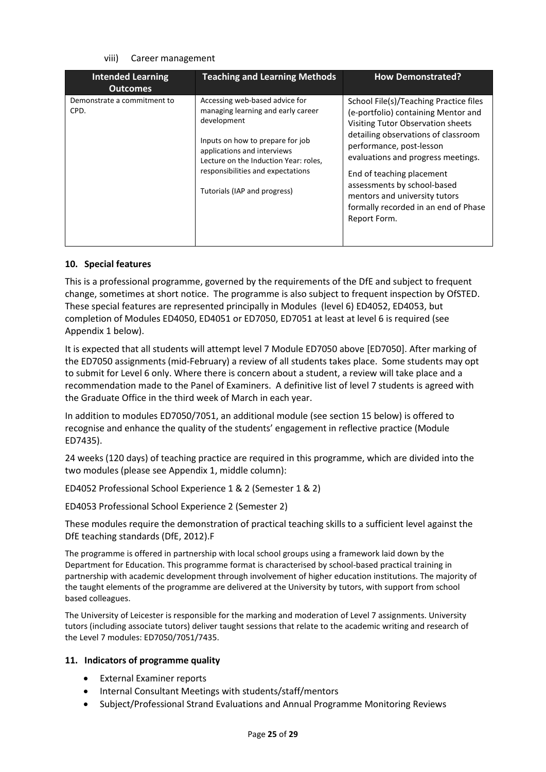### viii) Career management

| <b>Intended Learning</b><br><b>Outcomes</b> | <b>Teaching and Learning Methods</b>                                                                                                                                                                                                                                 | <b>How Demonstrated?</b>                                                                                                                                                                                                                                                                                                                                                         |
|---------------------------------------------|----------------------------------------------------------------------------------------------------------------------------------------------------------------------------------------------------------------------------------------------------------------------|----------------------------------------------------------------------------------------------------------------------------------------------------------------------------------------------------------------------------------------------------------------------------------------------------------------------------------------------------------------------------------|
| Demonstrate a commitment to<br>CPD.         | Accessing web-based advice for<br>managing learning and early career<br>development<br>Inputs on how to prepare for job<br>applications and interviews<br>Lecture on the Induction Year: roles,<br>responsibilities and expectations<br>Tutorials (IAP and progress) | School File(s)/Teaching Practice files<br>(e-portfolio) containing Mentor and<br>Visiting Tutor Observation sheets<br>detailing observations of classroom<br>performance, post-lesson<br>evaluations and progress meetings.<br>End of teaching placement<br>assessments by school-based<br>mentors and university tutors<br>formally recorded in an end of Phase<br>Report Form. |

### **10. Special features**

This is a professional programme, governed by the requirements of the DfE and subject to frequent change, sometimes at short notice. The programme is also subject to frequent inspection by OfSTED. These special features are represented principally in Modules (level 6) ED4052, ED4053, but completion of Modules ED4050, ED4051 or ED7050, ED7051 at least at level 6 is required (see Appendix 1 below).

It is expected that all students will attempt level 7 Module ED7050 above [ED7050]. After marking of the ED7050 assignments (mid-February) a review of all students takes place. Some students may opt to submit for Level 6 only. Where there is concern about a student, a review will take place and a recommendation made to the Panel of Examiners. A definitive list of level 7 students is agreed with the Graduate Office in the third week of March in each year.

In addition to modules ED7050/7051, an additional module (see section 15 below) is offered to recognise and enhance the quality of the students' engagement in reflective practice (Module ED7435).

24 weeks (120 days) of teaching practice are required in this programme, which are divided into the two modules (please see Appendix 1, middle column):

ED4052 Professional School Experience 1 & 2 (Semester 1 & 2)

ED4053 Professional School Experience 2 (Semester 2)

These modules require the demonstration of practical teaching skills to a sufficient level against the DfE teaching standards (DfE, 2012).F

The programme is offered in partnership with local school groups using a framework laid down by the Department for Education. This programme format is characterised by school-based practical training in partnership with academic development through involvement of higher education institutions. The majority of the taught elements of the programme are delivered at the University by tutors, with support from school based colleagues.

The University of Leicester is responsible for the marking and moderation of Level 7 assignments. University tutors (including associate tutors) deliver taught sessions that relate to the academic writing and research of the Level 7 modules: ED7050/7051/7435.

#### **11. Indicators of programme quality**

- External Examiner reports
- Internal Consultant Meetings with students/staff/mentors
- Subject/Professional Strand Evaluations and Annual Programme Monitoring Reviews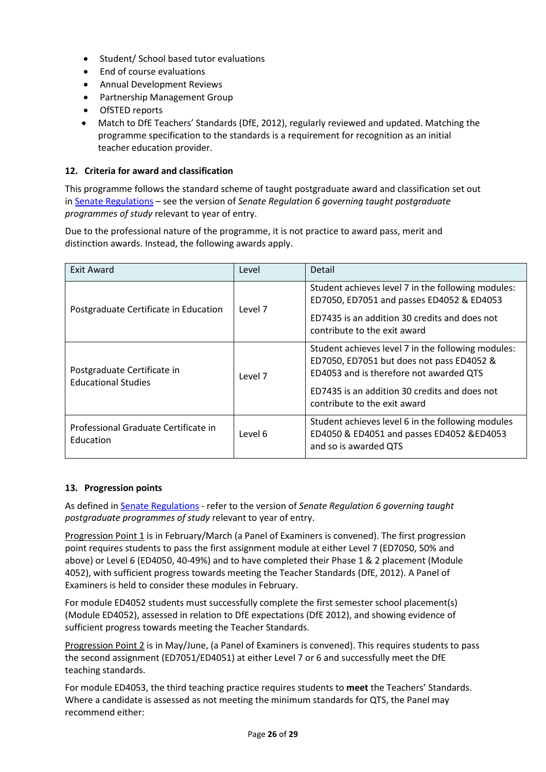- Student/ School based tutor evaluations
- End of course evaluations
- Annual Development Reviews
- Partnership Management Group
- OfSTED reports
- Match to DfE Teachers' Standards (DfE, 2012), regularly reviewed and updated. Matching the programme specification to the standards is a requirement for recognition as an initial teacher education provider.

### **12. Criteria for award and classification**

This programme follows the standard scheme of taught postgraduate award and classification set out i[n Senate Regulations](http://www.le.ac.uk/senate-regulations) – see the version of *Senate Regulation 6 governing taught postgraduate programmes of study* relevant to year of entry.

Due to the professional nature of the programme, it is not practice to award pass, merit and distinction awards. Instead, the following awards apply.

| <b>Exit Award</b>                                         | Level   | Detail                                                                                                                                                                                                                      |
|-----------------------------------------------------------|---------|-----------------------------------------------------------------------------------------------------------------------------------------------------------------------------------------------------------------------------|
| Postgraduate Certificate in Education                     | Level 7 | Student achieves level 7 in the following modules:<br>ED7050, ED7051 and passes ED4052 & ED4053<br>ED7435 is an addition 30 credits and does not<br>contribute to the exit award                                            |
| Postgraduate Certificate in<br><b>Educational Studies</b> | Level 7 | Student achieves level 7 in the following modules:<br>ED7050, ED7051 but does not pass ED4052 &<br>ED4053 and is therefore not awarded QTS<br>ED7435 is an addition 30 credits and does not<br>contribute to the exit award |
| Professional Graduate Certificate in<br>Education         | Level 6 | Student achieves level 6 in the following modules<br>ED4050 & ED4051 and passes ED4052 &ED4053<br>and so is awarded QTS                                                                                                     |

### **13. Progression points**

As defined i[n Senate Regulations](http://www.le.ac.uk/senate-regulation6) - refer to the version of *Senate Regulation 6 governing taught postgraduate programmes of study* relevant to year of entry.

Progression Point 1 is in February/March (a Panel of Examiners is convened). The first progression point requires students to pass the first assignment module at either Level 7 (ED7050, 50% and above) or Level 6 (ED4050, 40-49%) and to have completed their Phase 1 & 2 placement (Module 4052), with sufficient progress towards meeting the Teacher Standards (DfE, 2012). A Panel of Examiners is held to consider these modules in February.

For module ED4052 students must successfully complete the first semester school placement(s) (Module ED4052), assessed in relation to DfE expectations (DfE 2012), and showing evidence of sufficient progress towards meeting the Teacher Standards.

Progression Point 2 is in May/June, (a Panel of Examiners is convened). This requires students to pass the second assignment (ED7051/ED4051) at either Level 7 or 6 and successfully meet the DfE teaching standards.

For module ED4053, the third teaching practice requires students to **meet** the Teachers' Standards. Where a candidate is assessed as not meeting the minimum standards for QTS, the Panel may recommend either: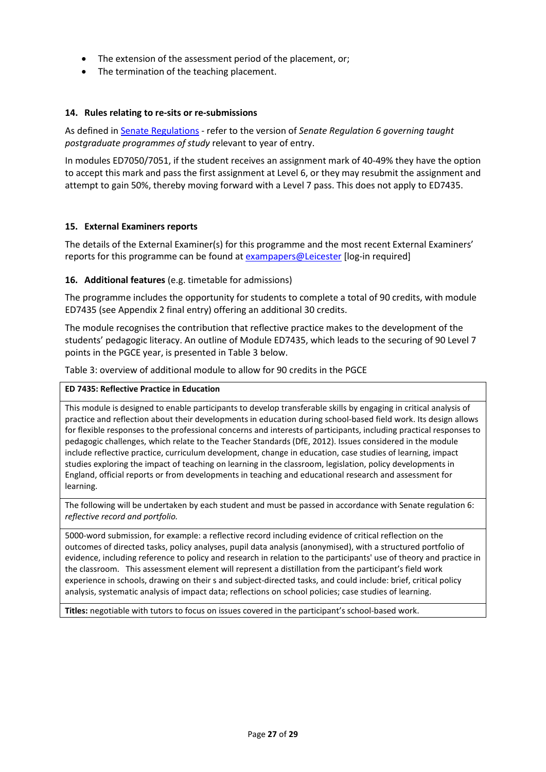- The extension of the assessment period of the placement, or:
- The termination of the teaching placement.

### **14. Rules relating to re-sits or re-submissions**

As defined i[n Senate Regulations](http://www.le.ac.uk/senate-regulation6) - refer to the version of *Senate Regulation 6 governing taught postgraduate programmes of study* relevant to year of entry.

In modules ED7050/7051, if the student receives an assignment mark of 40-49% they have the option to accept this mark and pass the first assignment at Level 6, or they may resubmit the assignment and attempt to gain 50%, thereby moving forward with a Level 7 pass. This does not apply to ED7435.

### **15. External Examiners reports**

The details of the External Examiner(s) for this programme and the most recent External Examiners' reports for this programme can be found at [exampapers@Leicester](https://exampapers.le.ac.uk/) [log-in required]

### **16. Additional features** (e.g. timetable for admissions)

The programme includes the opportunity for students to complete a total of 90 credits, with module ED7435 (see Appendix 2 final entry) offering an additional 30 credits.

The module recognises the contribution that reflective practice makes to the development of the students' pedagogic literacy. An outline of Module ED7435, which leads to the securing of 90 Level 7 points in the PGCE year, is presented in Table 3 below.

Table 3: overview of additional module to allow for 90 credits in the PGCE

### **ED 7435: Reflective Practice in Education**

This module is designed to enable participants to develop transferable skills by engaging in critical analysis of practice and reflection about their developments in education during school-based field work. Its design allows for flexible responses to the professional concerns and interests of participants, including practical responses to pedagogic challenges, which relate to the Teacher Standards (DfE, 2012). Issues considered in the module include reflective practice, curriculum development, change in education, case studies of learning, impact studies exploring the impact of teaching on learning in the classroom, legislation, policy developments in England, official reports or from developments in teaching and educational research and assessment for learning.

The following will be undertaken by each student and must be passed in accordance with Senate regulation 6: *reflective record and portfolio.*

5000-word submission, for example: a reflective record including evidence of critical reflection on the outcomes of directed tasks, policy analyses, pupil data analysis (anonymised), with a structured portfolio of evidence, including reference to policy and research in relation to the participants' use of theory and practice in the classroom. This assessment element will represent a distillation from the participant's field work experience in schools, drawing on their s and subject-directed tasks, and could include: brief, critical policy analysis, systematic analysis of impact data; reflections on school policies; case studies of learning.

**Titles:** negotiable with tutors to focus on issues covered in the participant's school-based work.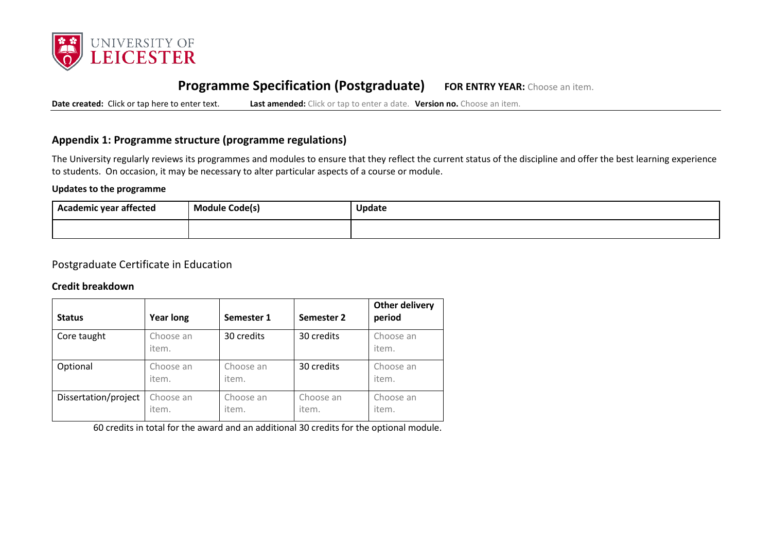

# **Programme Specification (Postgraduate) FOR ENTRY YEAR:** Choose an item.

**Date created:** Click or tap here to enter text. **Last amended:** Click or tap to enter a date. **Version no.** Choose an item.

### **Appendix 1: Programme structure (programme regulations)**

The University regularly reviews its programmes and modules to ensure that they reflect the current status of the discipline and offer the best learning experience to students. On occasion, it may be necessary to alter particular aspects of a course or module.

### **Updates to the programme**

| Academic year affected | <b>Module Code(s)</b> | Update |
|------------------------|-----------------------|--------|
|                        |                       |        |

### Postgraduate Certificate in Education

### **Credit breakdown**

| <b>Status</b>        | <b>Year long</b>   | Semester 1         | Semester 2         | <b>Other delivery</b><br>period |
|----------------------|--------------------|--------------------|--------------------|---------------------------------|
| Core taught          | Choose an<br>item. | 30 credits         | 30 credits         | Choose an<br>item.              |
| Optional             | Choose an<br>item. | Choose an<br>item. | 30 credits         | Choose an<br>item.              |
| Dissertation/project | Choose an<br>item. | Choose an<br>item. | Choose an<br>item. | Choose an<br>item.              |

60 credits in total for the award and an additional 30 credits for the optional module.